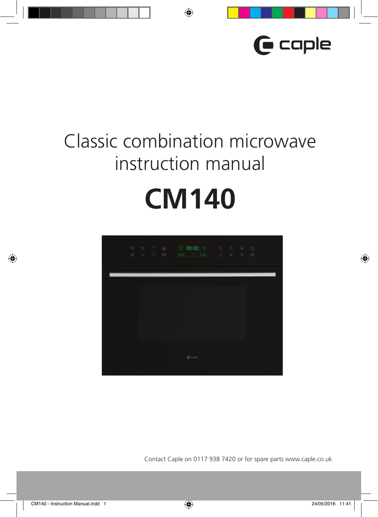

# Classic combination microwave instruction manual **CM140**



Contact Caple on 0117 938 7420 or for spare parts www.caple.co.uk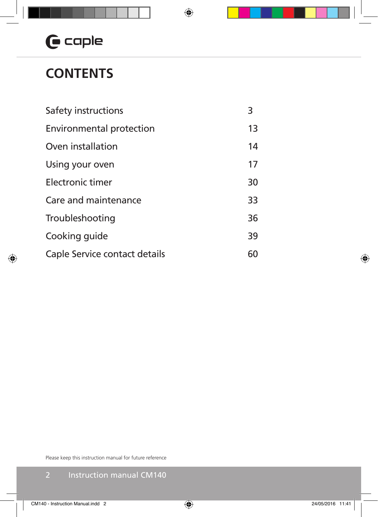# $G$  caple

## **CONTENTS**

| Safety instructions           | 3  |
|-------------------------------|----|
| Environmental protection      | 13 |
| Oven installation             | 14 |
| Using your oven               | 17 |
| Electronic timer              | 30 |
| Care and maintenance          | 33 |
| Troubleshooting               | 36 |
| Cooking quide                 | 39 |
| Caple Service contact details | 60 |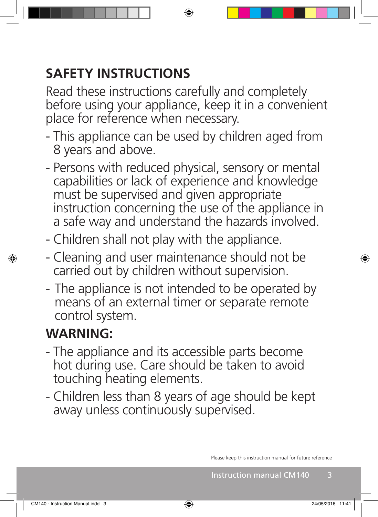## **SAFETY INSTRUCTIONS**

Read these instructions carefully and completely before using your appliance, keep it in a convenient place for reference when necessary.

- This appliance can be used by children aged from 8 years and above.
- Persons with reduced physical, sensory or mental capabilities or lack of experience and knowledge must be supervised and given appropriate instruction concerning the use of the appliance in a safe way and understand the hazards involved.
- Children shall not play with the appliance.
- Cleaning and user maintenance should not be carried out by children without supervision.
- The appliance is not intended to be operated by means of an external timer or separate remote control system.

# **WARNING:**

- The appliance and its accessible parts become hot during use. Care should be taken to avoid touching heating elements.
- Children less than 8 years of age should be kept away unless continuously supervised.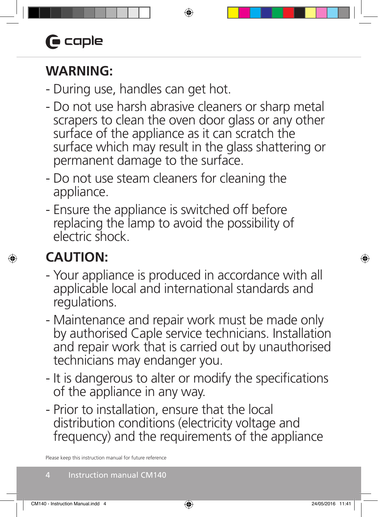## **WARNING:**

- During use, handles can get hot.
- Do not use harsh abrasive cleaners or sharp metal scrapers to clean the oven door glass or any other surface of the appliance as it can scratch the surface which may result in the glass shattering or permanent damage to the surface.
- Do not use steam cleaners for cleaning the appliance.
- Ensure the appliance is switched off before replacing the lamp to avoid the possibility of electric shock.

# **CAUTION:**

- Your appliance is produced in accordance with all applicable local and international standards and regulations.
- Maintenance and repair work must be made only by authorised Caple service technicians. Installation and repair work that is carried out by unauthorised technicians may endanger you.
- It is dangerous to alter or modify the specifications of the appliance in any way.
- Prior to installation, ensure that the local distribution conditions (electricity voltage and frequency) and the requirements of the appliance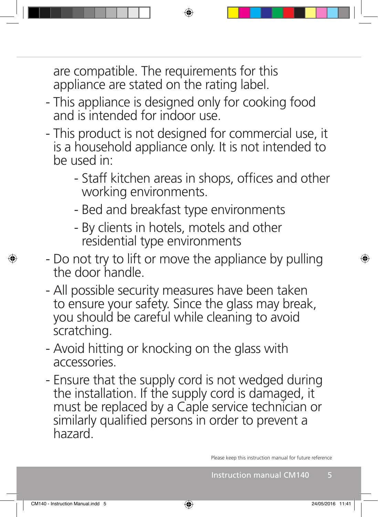are compatible. The requirements for this appliance are stated on the rating label.

- This appliance is designed only for cooking food and is intended for indoor use.
- This product is not designed for commercial use, it is a household appliance only. It is not intended to be used in:
	- Staff kitchen areas in shops, offices and other working environments.
	- Bed and breakfast type environments
	- By clients in hotels, motels and other residential type environments
- Do not try to lift or move the appliance by pulling the door handle.
- All possible security measures have been taken to ensure your safety. Since the glass may break, you should be careful while cleaning to avoid scratching.
- Avoid hitting or knocking on the glass with accessories.
- Ensure that the supply cord is not wedged during the installation. If the supply cord is damaged, it must be replaced by a Caple service technician or similarly qualified persons in order to prevent a hazard.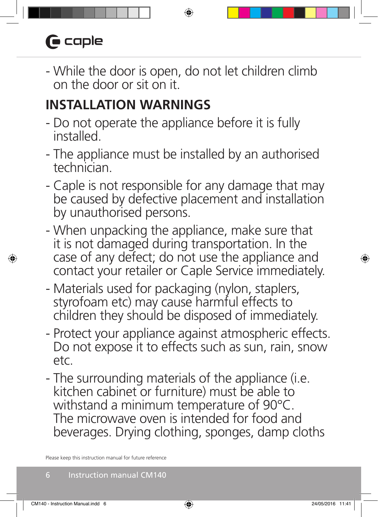# $\bigcap$  caple

- While the door is open, do not let children climb on the door or sit on it.

## **INSTALLATION WARNINGS**

- Do not operate the appliance before it is fully installed.
- The appliance must be installed by an authorised technician.
- Caple is not responsible for any damage that may be caused by defective placement and installation by unauthorised persons.
- When unpacking the appliance, make sure that it is not damaged during transportation. In the case of any defect; do not use the appliance and contact your retailer or Caple Service immediately.
- Materials used for packaging (nylon, staplers, styrofoam etc) may cause harmful effects to children they should be disposed of immediately.
- Protect your appliance against atmospheric effects. Do not expose it to effects such as sun, rain, snow etc.
- The surrounding materials of the appliance (i.e. kitchen cabinet or furniture) must be able to withstand a minimum temperature of 90°C. The microwave oven is intended for food and beverages. Drying clothing, sponges, damp cloths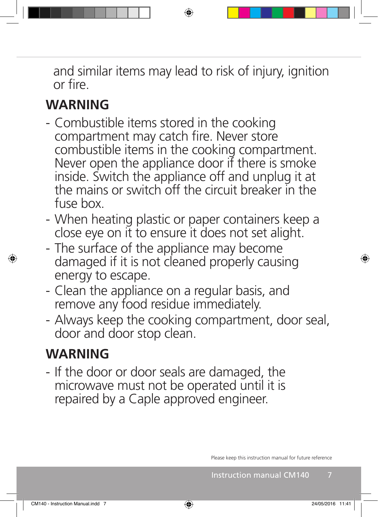and similar items may lead to risk of injury, ignition or fire.

## **WARNING**

- Combustible items stored in the cooking compartment may catch fire. Never store combustible items in the cooking compartment. Never open the appliance door if there is smoke inside. Switch the appliance off and unplug it at the mains or switch off the circuit breaker in the fuse box.
- When heating plastic or paper containers keep a close eye on it to ensure it does not set alight.
- The surface of the appliance may become damaged if it is not cleaned properly causing energy to escape.
- Clean the appliance on a regular basis, and remove any food residue immediately.
- Always keep the cooking compartment, door seal, door and door stop clean.

## **WARNING**

- If the door or door seals are damaged, the microwave must not be operated until it is repaired by a Caple approved engineer.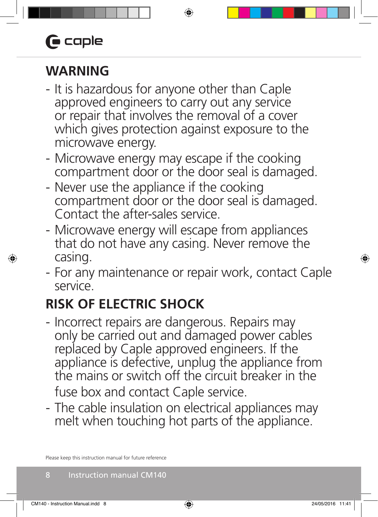# $\bigoplus$  caple

## **WARNING**

- It is hazardous for anyone other than Caple approved engineers to carry out any service or repair that involves the removal of a cover which gives protection against exposure to the microwave energy.
- Microwave energy may escape if the cooking compartment door or the door seal is damaged.
- Never use the appliance if the cooking compartment door or the door seal is damaged. Contact the after-sales service.
- Microwave energy will escape from appliances that do not have any casing. Never remove the casing.
- For any maintenance or repair work, contact Caple service.

# **RISK OF ELECTRIC SHOCK**

- Incorrect repairs are dangerous. Repairs may only be carried out and damaged power cables replaced by Caple approved engineers. If the appliance is defective, unplug the appliance from the mains or switch off the circuit breaker in the fuse box and contact Caple service.
- The cable insulation on electrical appliances may melt when touching hot parts of the appliance.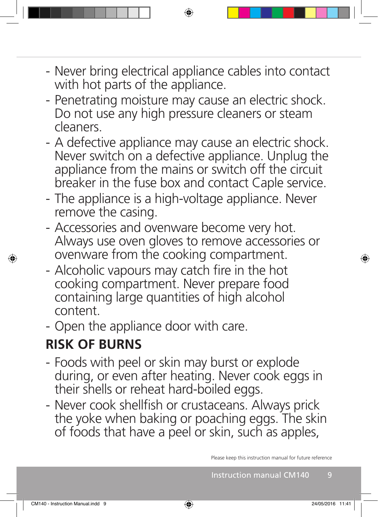- Never bring electrical appliance cables into contact with hot parts of the appliance.
- Penetrating moisture may cause an electric shock. Do not use any high pressure cleaners or steam cleaners.
- A defective appliance may cause an electric shock. Never switch on a defective appliance. Unplug the appliance from the mains or switch off the circuit breaker in the fuse box and contact Caple service.
- The appliance is a high-voltage appliance. Never remove the casing.
- Accessories and ovenware become very hot. Always use oven gloves to remove accessories or ovenware from the cooking compartment.
- Alcoholic vapours may catch fire in the hot cooking compartment. Never prepare food containing large quantities of high alcohol content.
- Open the appliance door with care.

## **RISK OF BURNS**

- Foods with peel or skin may burst or explode during, or even after heating. Never cook eggs in their shells or reheat hard-boiled eggs.
- Never cook shellfish or crustaceans. Always prick the yoke when baking or poaching eggs. The skin of foods that have a peel or skin, such as apples,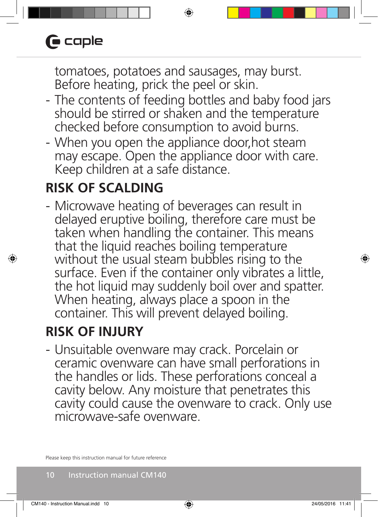tomatoes, potatoes and sausages, may burst. Before heating, prick the peel or skin.

- The contents of feeding bottles and baby food jars should be stirred or shaken and the temperature checked before consumption to avoid burns.
- When you open the appliance door,hot steam may escape. Open the appliance door with care. Keep children at a safe distance.

## **RISK OF SCALDING**

- Microwave heating of beverages can result in delayed eruptive boiling, therefore care must be taken when handling the container. This means that the liquid reaches boiling temperature without the usual steam bubbles rising to the surface. Even if the container only vibrates a little, the hot liquid may suddenly boil over and spatter. When heating, always place a spoon in the container. This will prevent delayed boiling.

## **RISK OF INJURY**

- Unsuitable ovenware may crack. Porcelain or ceramic ovenware can have small perforations in the handles or lids. These perforations conceal a cavity below. Any moisture that penetrates this cavity could cause the ovenware to crack. Only use microwave-safe ovenware.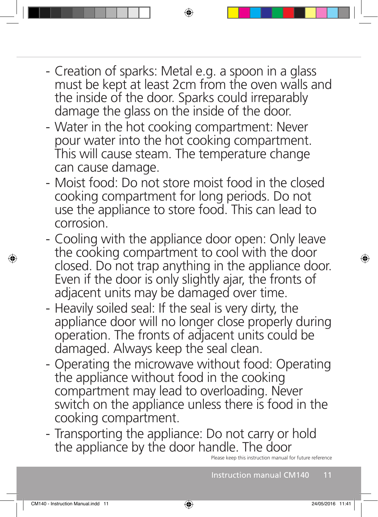- Creation of sparks: Metal e.g. a spoon in a glass must be kept at least 2cm from the oven walls and the inside of the door. Sparks could irreparably damage the glass on the inside of the door.
- Water in the hot cooking compartment: Never pour water into the hot cooking compartment. This will cause steam. The temperature change can cause damage.
- Moist food: Do not store moist food in the closed cooking compartment for long periods. Do not use the appliance to store food. This can lead to corrosion.
- Cooling with the appliance door open: Only leave the cooking compartment to cool with the door closed. Do not trap anything in the appliance door. Even if the door is only slightly ajar, the fronts of adjacent units may be damaged over time.
- Heavily soiled seal: If the seal is very dirty, the appliance door will no longer close properly during operation. The fronts of adjacent units could be damaged. Always keep the seal clean.
- Operating the microwave without food: Operating the appliance without food in the cooking compartment may lead to overloading. Never switch on the appliance unless there is food in the cooking compartment.
- Transporting the appliance: Do not carry or hold the appliance by the door handle. The door

this instruction manual for future reference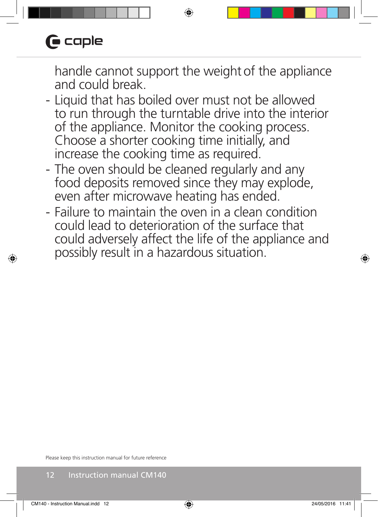handle cannot support the weight of the appliance and could break.

- Liquid that has boiled over must not be allowed to run through the turntable drive into the interior of the appliance. Monitor the cooking process. Choose a shorter cooking time initially, and increase the cooking time as required.
- The oven should be cleaned regularly and any food deposits removed since they may explode, even after microwave heating has ended.
- Failure to maintain the oven in a clean condition could lead to deterioration of the surface that could adversely affect the life of the appliance and possibly result in a hazardous situation.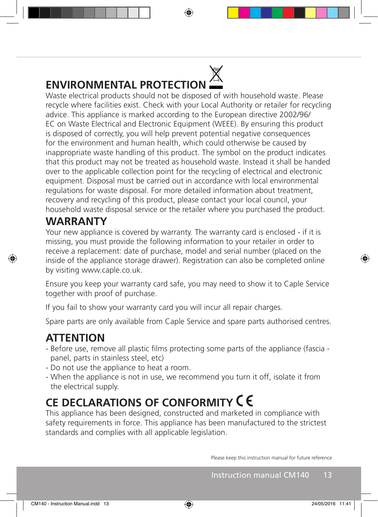

Waste electrical products should not be disposed of with household waste. Please recycle where facilities exist. Check with your Local Authority or retailer for recycling advice. This appliance is marked according to the European directive 2002/96/ EC on Waste Electrical and Electronic Equipment (WEEE). By ensuring this product is disposed of correctly, you will help prevent potential negative consequences for the environment and human health, which could otherwise be caused by inappropriate waste handling of this product. The symbol on the product indicates that this product may not be treated as household waste. Instead it shall be handed over to the applicable collection point for the recycling of electrical and electronic equipment. Disposal must be carried out in accordance with local environmental regulations for waste disposal. For more detailed information about treatment, recovery and recycling of this product, please contact your local council, your household waste disposal service or the retailer where you purchased the product.

## **WARRANTY**

Your new appliance is covered by warranty. The warranty card is enclosed - if it is missing, you must provide the following information to your retailer in order to receive a replacement: date of purchase, model and serial number (placed on the inside of the appliance storage drawer). Registration can also be completed online by visiting www.caple.co.uk.

Ensure you keep your warranty card safe, you may need to show it to Caple Service together with proof of purchase.

If you fail to show your warranty card you will incur all repair charges.

Spare parts are only available from Caple Service and spare parts authorised centres.

## **ATTENTION**

- Before use, remove all plastic films protecting some parts of the appliance (fascia panel, parts in stainless steel, etc)
- Do not use the appliance to heat a room.
- When the appliance is not in use, we recommend you turn it off, isolate it from the electrical supply.

## **CE DECLARATIONS OF CONFORMITY**

This appliance has been designed, constructed and marketed in compliance with safety requirements in force. This appliance has been manufactured to the strictest standards and complies with all applicable legislation.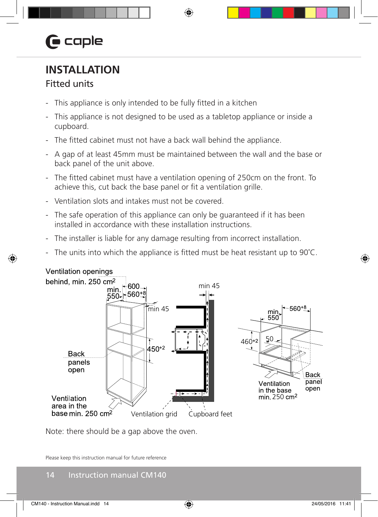# $\mathbf \Theta$  caple

## **INSTALLATION**

## Fitted units

- This appliance is only intended to be fully fitted in a kitchen
- This appliance is not designed to be used as a tabletop appliance or inside a cupboard.
- The fitted cabinet must not have a back wall behind the appliance.
- A gap of at least 45mm must be maintained between the wall and the base or back panel of the unit above.
- The fitted cabinet must have a ventilation opening of 250cm on the front. To achieve this, cut back the base panel or fit a ventilation grille.
- Ventilation slots and intakes must not be covered.
- The safe operation of this appliance can only be guaranteed if it has been installed in accordance with these installation instructions.
- The installer is liable for any damage resulting from incorrect installation.
- The units into which the appliance is fitted must be heat resistant up to  $90^{\circ}$ C.



Note: there should be a gap above the oven.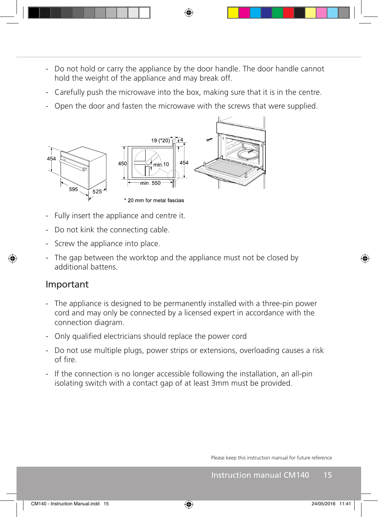- Do not hold or carry the appliance by the door handle. The door handle cannot hold the weight of the appliance and may break off.
- Carefully push the microwave into the box, making sure that it is in the centre.
- Open the door and fasten the microwave with the screws that were supplied.



- Fully insert the appliance and centre it.
- Do not kink the connecting cable.
- Screw the appliance into place.
- The gap between the worktop and the appliance must not be closed by additional battens.

#### Important

- The appliance is designed to be permanently installed with a three-pin power cord and may only be connected by a licensed expert in accordance with the connection diagram.
- Only qualified electricians should replace the power cord
- Do not use multiple plugs, power strips or extensions, overloading causes a risk of fire.
- If the connection is no longer accessible following the installation, an all-pin isolating switch with a contact gap of at least 3mm must be provided.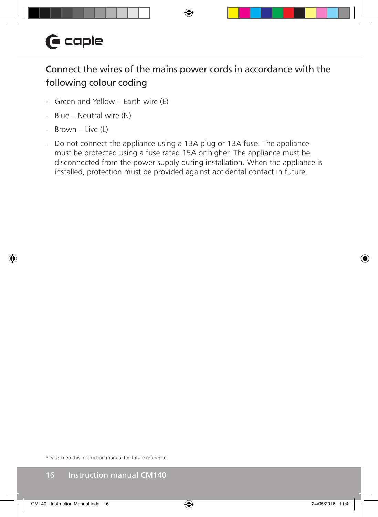## Connect the wires of the mains power cords in accordance with the following colour coding

- Green and Yellow Earth wire (E)
- Blue Neutral wire (N)
- Brown Live (L)
- Do not connect the appliance using a 13A plug or 13A fuse. The appliance must be protected using a fuse rated 15A or higher. The appliance must be disconnected from the power supply during installation. When the appliance is installed, protection must be provided against accidental contact in future.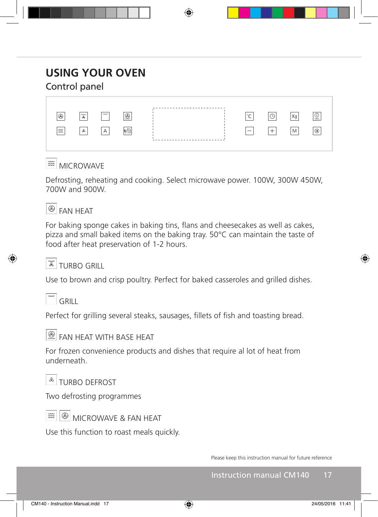## **USING YOUR OVEN**

## Control panel

| $\circledR$              | ' ‴ັ                     | <b>Shows</b>   | $@{}$             |  | $\sim$<br>◡ | $\bigcirc$<br>◡ | Кg | v<br>$+306$ ec |
|--------------------------|--------------------------|----------------|-------------------|--|-------------|-----------------|----|----------------|
| $\widetilde{\mathbb{Z}}$ | $\mathcal{S}_{\text{c}}$ | $\overline{A}$ | $\sqrt{2}$<br>B/H |  |             | $+$             | M  | $^{\circ}$     |
|                          |                          |                |                   |  |             |                 |    |                |

#### **<sup>α </sup>MICROWAVE</sub>**

Defrosting, reheating and cooking. Select microwave power. 100W, 300W 450W, 700W and 900W.



For baking sponge cakes in baking tins, flans and cheesecakes as well as cakes, pizza and small baked items on the baking tray. 50°C can maintain the taste of food after heat preservation of 1-2 hours.

#### $\frac{1}{8}$ TURRO GRILL

Use to brown and crisp poultry. Perfect for baked casseroles and grilled dishes.

 $\sqrt{m}$  GRILL

Perfect for grilling several steaks, sausages, fillets of fish and toasting bread.



**B** FAN HEAT WITH BASE HEAT

For frozen convenience products and dishes that require al lot of heat from underneath.

 $\frac{1}{2}$ TURBO DEFROST

Two defrosting programmes



 $|\circledast|$  MICROWAVE & FAN HEAT

Use this function to roast meals quickly.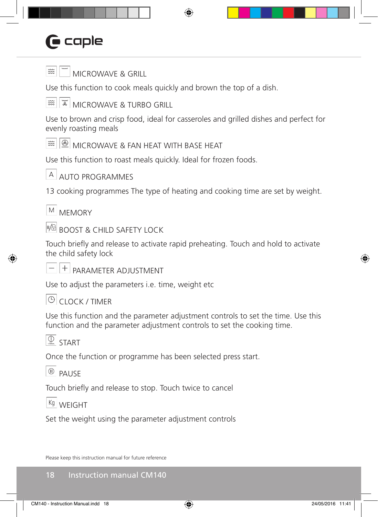# **G** caple



 $\mathbb{R}$  MICROWAVE & GRILL

Use this function to cook meals quickly and brown the top of a dish.

 $\frac{1}{8}$  MICROWAVE & TURBO GRILL  $\widetilde{\mathbb{Z}}$ 

Use to brown and crisp food, ideal for casseroles and grilled dishes and perfect for evenly roasting meals

 $\mathbb{R} \otimes \mathbb{R}$  MICROWAVE & FAN HEAT WITH BASE HEAT

Use this function to roast meals quickly. Ideal for frozen foods.



 $A$  AUTO PROGRAMMES

13 cooking programmes The type of heating and cooking time are set by weight.

 $M$  MEMORY

 $\mathbb{B}$ BOOST & CHILD SAFETY LOCK

Touch briefly and release to activate rapid preheating. Touch and hold to activate the child safety lock

 $\overline{P}$   $\overline{P}$  Parameter adjustment

Use to adjust the parameters i.e. time, weight etc

#### $\Theta$  CLOCK / TIMER

Use this function and the parameter adjustment controls to set the time. Use this function and the parameter adjustment controls to set the cooking time.

 $\overline{\bigcirc_{\text{200}_{\text{sec}}}}$  START

Once the function or programme has been selected press start.

 $\overline{\omega}$  PAUSE

Touch briefly and release to stop. Touch twice to cancel

 $Kg$  WFIGHT

Set the weight using the parameter adjustment controls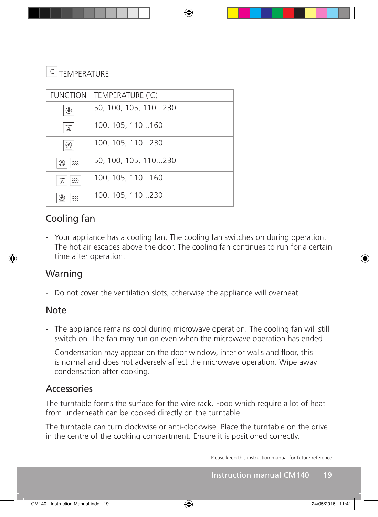#### $|C|$ TEMPERATURE

| <b>FUNCTION</b>      | TEMPERATURE (°C)     |
|----------------------|----------------------|
| R                    | 50, 100, 105, 110230 |
| www<br>$\mathcal{A}$ | 100, 105, 110160     |
| Œ                    | 100, 105, 110230     |
| $\frac{2}{2}$<br>Æ   | 50, 100, 105, 110230 |
| ww<br>燚<br>Æ,        | 100, 105, 110160     |
| w<br>∞               | 100, 105, 110230     |

## Cooling fan

- Your appliance has a cooling fan. The cooling fan switches on during operation. The hot air escapes above the door. The cooling fan continues to run for a certain time after operation.

#### Warning

- Do not cover the ventilation slots, otherwise the appliance will overheat.

#### Note

- The appliance remains cool during microwave operation. The cooling fan will still switch on. The fan may run on even when the microwave operation has ended
- Condensation may appear on the door window, interior walls and floor, this is normal and does not adversely affect the microwave operation. Wipe away condensation after cooking.

#### Accessories

The turntable forms the surface for the wire rack. Food which require a lot of heat from underneath can be cooked directly on the turntable.

The turntable can turn clockwise or anti-clockwise. Place the turntable on the drive in the centre of the cooking compartment. Ensure it is positioned correctly.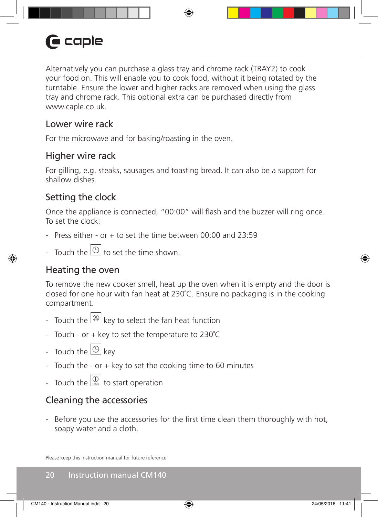# **G** caple

Alternatively you can purchase a glass tray and chrome rack (TRAY2) to cook your food on. This will enable you to cook food, without it being rotated by the turntable. Ensure the lower and higher racks are removed when using the glass tray and chrome rack. This optional extra can be purchased directly from www.caple.co.uk.

#### Lower wire rack

For the microwave and for baking/roasting in the oven.

#### Higher wire rack

For gilling, e.g. steaks, sausages and toasting bread. It can also be a support for shallow dishes.

## Setting the clock

Once the appliance is connected, "00:00" will flash and the buzzer will ring once. To set the clock:

- Press either or  $+$  to set the time between 00:00 and 23:59
- Touch the  $|\Theta|$  to set the time shown.

## Heating the oven

To remove the new cooker smell, heat up the oven when it is empty and the door is closed for one hour with fan heat at 230˚C. Ensure no packaging is in the cooking compartment.

- Touch the  $\bigcirc$  key to select the fan heat function
- Touch or + key to set the temperature to 230˚C
- Touch the  $\boxed{\circlearrowright}$  key
- Touch the or + key to set the cooking time to 60 minutes
- Touch the  $\overline{\mathbb{Q}}$  to start operation

## Cleaning the accessories

- Before you use the accessories for the first time clean them thoroughly with hot, soapy water and a cloth.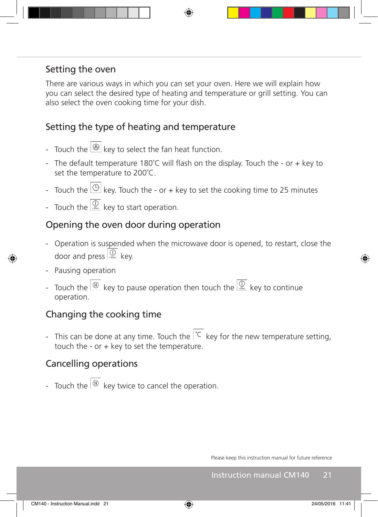### Setting the oven

There are various ways in which you can set your oven. Here we will explain how you can select the desired type of heating and temperature or grill setting. You can also select the oven cooking time for your dish.

## Setting the type of heating and temperature

- Touch the  $\bigotimes$  key to select the fan heat function.
- The default temperature 180°C will flash on the display. Touch the or + key to set the temperature to 200˚C.
- Touch the  $\bigcirc$  key. Touch the or + key to set the cooking time to 25 minutes
- Touch the  $\overline{\overset{O}{\mathbb{Q}}}$  key to start operation.

#### Opening the oven door during operation

- Operation is suspended when the microwave door is opened, to restart, close the door and press  $\boxed{\bigcirc$  key.
- Pausing operation
- Touch the  $\frac{1}{\sqrt{2}}$  key to pause operation then touch the  $\frac{1}{\sqrt{2}}$  key to continue operation.

#### Changing the cooking time

- This can be done at any time. Touch the  $\overline{C}$  key for the new temperature setting, touch the - or  $+$  key to set the temperature.

#### Cancelling operations

- Touch the  $\frac{1}{2}$  key twice to cancel the operation.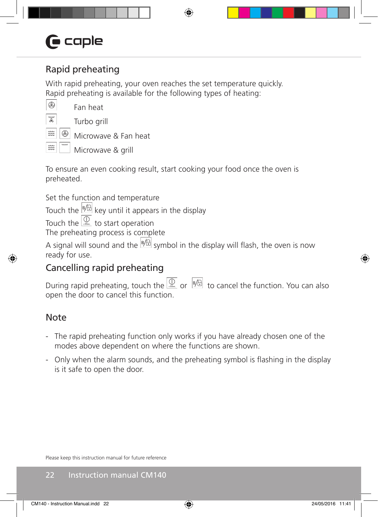# **G** caple

## Rapid preheating

With rapid preheating, your oven reaches the set temperature quickly. Rapid preheating is available for the following types of heating:

 $^{\circledR}$ Ã

簽

 $\widetilde{\approx}$ 

Fan heat

Turbo grill

⊛ Microwave & Fan heat

Microwave & grill

To ensure an even cooking result, start cooking your food once the oven is preheated.

Set the function and temperature

Touch the  $\frac{18}{10}$  key until it appears in the display

Touch the  $\overline{u}$  to start operation

The preheating process is complete

A signal will sound and the  $\frac{18}{6}$  symbol in the display will flash, the oven is now ready for use.

## Cancelling rapid preheating

During rapid preheating, touch the  $\overline{Q}$  or  $\overline{P}/B$  to cancel the function. You can also open the door to cancel this function.

## Note

- The rapid preheating function only works if you have already chosen one of the modes above dependent on where the functions are shown.
- Only when the alarm sounds, and the preheating symbol is flashing in the display is it safe to open the door.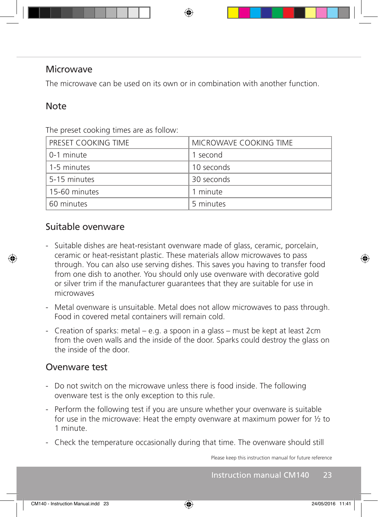#### Microwave

The microwave can be used on its own or in combination with another function.

#### **Note**

| PRESET COOKING TIME | MICROWAVE COOKING TIME |
|---------------------|------------------------|
| 0-1 minute          | 1 second               |
| 1-5 minutes         | 10 seconds             |
| 5-15 minutes        | 30 seconds             |
| 15-60 minutes       | 1 minute               |
| 60 minutes          | 5 minutes              |

The preset cooking times are as follow:

#### Suitable ovenware

- Suitable dishes are heat-resistant ovenware made of glass, ceramic, porcelain, ceramic or heat-resistant plastic. These materials allow microwaves to pass through. You can also use serving dishes. This saves you having to transfer food from one dish to another. You should only use ovenware with decorative gold or silver trim if the manufacturer guarantees that they are suitable for use in microwaves
- Metal ovenware is unsuitable. Metal does not allow microwaves to pass through. Food in covered metal containers will remain cold.
- Creation of sparks: metal e.g. a spoon in a glass must be kept at least 2cm from the oven walls and the inside of the door. Sparks could destroy the glass on the inside of the door.

#### Ovenware test

- Do not switch on the microwave unless there is food inside. The following ovenware test is the only exception to this rule.
- Perform the following test if you are unsure whether your ovenware is suitable for use in the microwave: Heat the empty ovenware at maximum power for ½ to 1 minute.
- Check the temperature occasionally during that time. The ovenware should still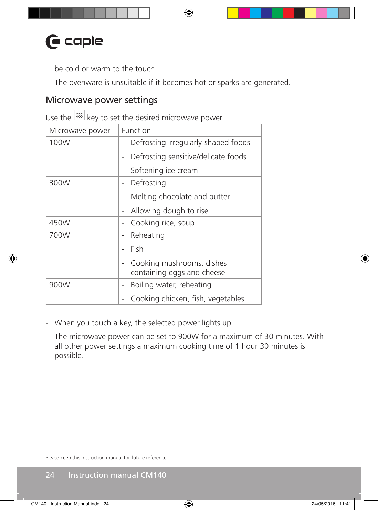be cold or warm to the touch.

- The ovenware is unsuitable if it becomes hot or sparks are generated.

#### Microwave power settings

Use the  $\left|\frac{1}{2}x\right|$  key to set the desired microwave power

| Microwave power | Function                                                |  |
|-----------------|---------------------------------------------------------|--|
| 100W            | Defrosting irregularly-shaped foods                     |  |
|                 | Defrosting sensitive/delicate foods                     |  |
|                 | Softening ice cream                                     |  |
| 300W            | Defrosting                                              |  |
|                 | Melting chocolate and butter                            |  |
|                 | Allowing dough to rise                                  |  |
| 450W            | Cooking rice, soup                                      |  |
| 700W            | Reheating                                               |  |
|                 | Fish                                                    |  |
|                 | Cooking mushrooms, dishes<br>containing eggs and cheese |  |
|                 |                                                         |  |
| 900W            | Boiling water, reheating                                |  |
|                 | Cooking chicken, fish, vegetables                       |  |

- When you touch a key, the selected power lights up.
- The microwave power can be set to 900W for a maximum of 30 minutes. With all other power settings a maximum cooking time of 1 hour 30 minutes is possible.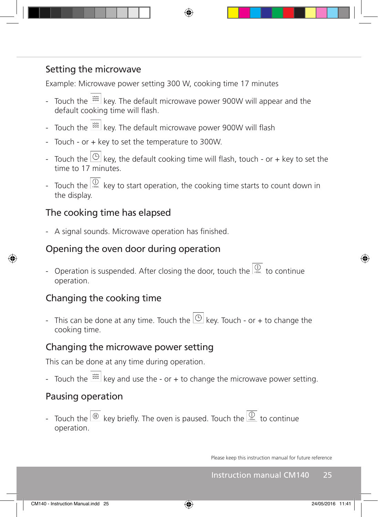## Setting the microwave

Example: Microwave power setting 300 W, cooking time 17 minutes

- Touch the  $\frac{1}{2}$  key. The default microwave power 900W will appear and the default cooking time will flash.
- Touch the  $\frac{1}{2}$  key. The default microwave power 900W will flash
- Touch or + key to set the temperature to 300W.
- Touch the  $\bigcirc$  key, the default cooking time will flash, touch or + key to set the time to 17 minutes.
- Touch the  $\frac{1}{\sqrt{2}}$  key to start operation, the cooking time starts to count down in the display.

## The cooking time has elapsed

- A signal sounds. Microwave operation has finished.

## Opening the oven door during operation

- Operation is suspended. After closing the door, touch the  $\frac{1}{100}$  to continue operation.

## Changing the cooking time

- This can be done at any time. Touch the  $\bigcirc$  key. Touch - or + to change the cooking time.

## Changing the microwave power setting

This can be done at any time during operation.

- Touch the  $\frac{1}{2}$  key and use the - or + to change the microwave power setting.

## Pausing operation

- Touch the  $\frac{1}{10}$  key briefly. The oven is paused. Touch the  $\frac{1}{100}$  to continue operation.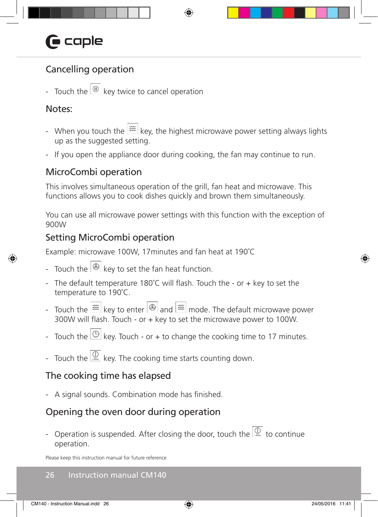## Cancelling operation

- Touch the  $\overline{w}$  key twice to cancel operation

## Notes:

- When you touch the  $\lim_{n \to \infty}$  key, the highest microwave power setting always lights up as the suggested setting.
- If you open the appliance door during cooking, the fan may continue to run.

## MicroCombi operation

This involves simultaneous operation of the grill, fan heat and microwave. This functions allows you to cook dishes quickly and brown them simultaneously.

You can use all microwave power settings with this function with the exception of 900W

## Setting MicroCombi operation

Example: microwave 100W, 17minutes and fan heat at 190˚C

- Touch the  $\bigotimes$  key to set the fan heat function.
- The default temperature 180°C will flash. Touch the or  $+$  key to set the temperature to 190˚C.
- Touch the  $\frac{1}{200}$  key to enter  $\frac{1}{200}$  and  $\frac{1}{200}$  mode. The default microwave power 300W will flash. Touch - or + key to set the microwave power to 100W.
- Touch the  $\left[ \circlearrowleft \right]$  key. Touch or + to change the cooking time to 17 minutes.
- Touch the  $\frac{10}{1000}$  key. The cooking time starts counting down.

## The cooking time has elapsed

- A signal sounds. Combination mode has finished.

## Opening the oven door during operation

- Operation is suspended. After closing the door, touch the  $\frac{10}{1000}$  to continue operation.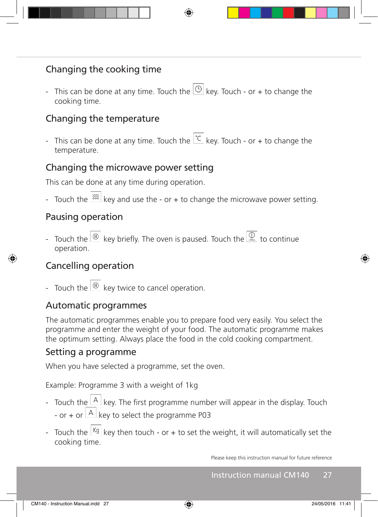## Changing the cooking time

- This can be done at any time. Touch the  $\bigcirc$  key. Touch - or + to change the cooking time.

## Changing the temperature

- This can be done at any time. Touch the  $\overline{C}$  key. Touch - or + to change the temperature.

#### Changing the microwave power setting

This can be done at any time during operation.

- Touch the  $\frac{1}{\infty}$  key and use the - or + to change the microwave power setting.

#### Pausing operation

- Touch the  $\frac{w}{w}$  key briefly. The oven is paused. Touch the  $\frac{w}{w}$  to continue operation.

#### Cancelling operation

- Touch the  $\frac{1}{2}$  key twice to cancel operation.

#### Automatic programmes

The automatic programmes enable you to prepare food very easily. You select the programme and enter the weight of your food. The automatic programme makes the optimum setting. Always place the food in the cold cooking compartment.

#### Setting a programme

When you have selected a programme, set the oven.

Example: Programme 3 with a weight of 1kg

- Touch the  $\frac{|A|}{|B|}$  key. The first programme number will appear in the display. Touch - or + or  $\overline{A}$  key to select the programme P03
- Touch the  $\frac{kg}{g}$  key then touch or + to set the weight, it will automatically set the cooking time.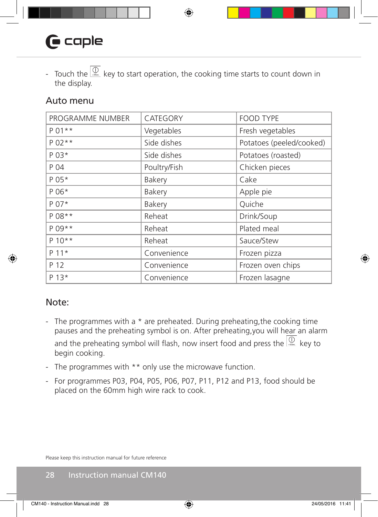# $\mathbf \Theta$  caple

- Touch the  $\frac{D}{\sqrt{2}}$  key to start operation, the cooking time starts to count down in the display.

#### Auto menu

| PROGRAMME NUMBER | CATEGORY     | <b>FOOD TYPE</b>         |
|------------------|--------------|--------------------------|
| $P 01**$         | Vegetables   | Fresh vegetables         |
| P 02 **          | Side dishes  | Potatoes (peeled/cooked) |
| P 03*            | Side dishes  | Potatoes (roasted)       |
| P 04             | Poultry/Fish | Chicken pieces           |
| P 05*            | Bakery       | Cake                     |
| P 06*            | Bakery       | Apple pie                |
| P 07*            | Bakery       | Quiche                   |
| P 08 **          | Reheat       | Drink/Soup               |
| $P 09**$         | Reheat       | Plated meal              |
| $P 10**$         | Reheat       | Sauce/Stew               |
| $P 11*$          | Convenience  | Frozen pizza             |
| P 12             | Convenience  | Frozen oven chips        |
| P 13*            | Convenience  | Frozen lasagne           |

#### Note:

- The programmes with a  $*$  are preheated. During preheating, the cooking time pauses and the preheating symbol is on. After preheating,you will hear an alarm and the preheating symbol will flash, now insert food and press the  $\frac{p}{\sqrt{2}}$  key to begin cooking.
- The programmes with \*\* only use the microwave function.
- For programmes P03, P04, P05, P06, P07, P11, P12 and P13, food should be placed on the 60mm high wire rack to cook.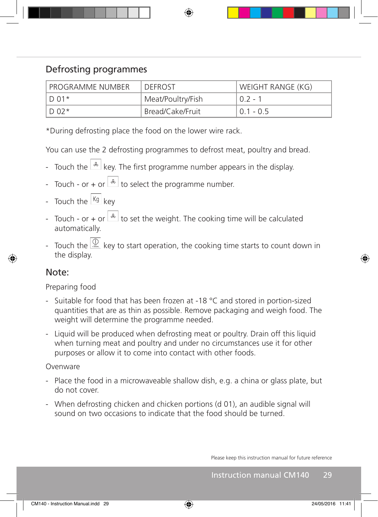## Defrosting programmes

| l programme number | <b>DEFROST</b>                | WEIGHT RANGE (KG) |
|--------------------|-------------------------------|-------------------|
| $ID.01*$           | Meat/Poultry/Fish             | $02 - 1$          |
| $\overline{D}$ 02* | <sup>1</sup> Bread/Cake/Fruit | $0.1 - 0.5$       |

\*During defrosting place the food on the lower wire rack.

You can use the 2 defrosting programmes to defrost meat, poultry and bread.

- Touch the  $\frac{A}{A}$  key. The first programme number appears in the display.
- Touch or + or  $\frac{a}{b}$  to select the programme number.
- Touch the  $\frac{kg}{kq}$  key
- Touch or + or  $\frac{1}{x}$  to set the weight. The cooking time will be calculated automatically.
- Touch the  $\frac{10}{100}$  key to start operation, the cooking time starts to count down in the display.

#### Note:

#### Preparing food

- Suitable for food that has been frozen at -18 °C and stored in portion-sized quantities that are as thin as possible. Remove packaging and weigh food. The weight will determine the programme needed.
- Liquid will be produced when defrosting meat or poultry. Drain off this liquid when turning meat and poultry and under no circumstances use it for other purposes or allow it to come into contact with other foods.

#### **Ovenware**

- Place the food in a microwaveable shallow dish, e.g. a china or glass plate, but do not cover.
- When defrosting chicken and chicken portions (d 01), an audible signal will sound on two occasions to indicate that the food should be turned.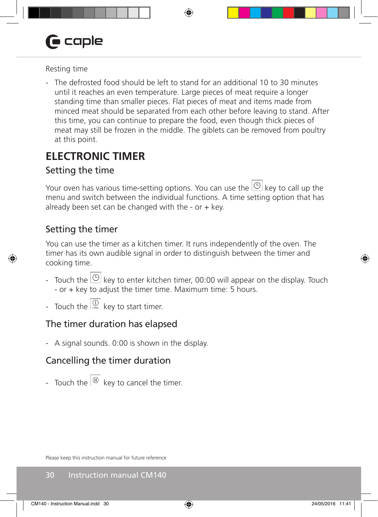# **G** caple

#### Resting time

- The defrosted food should be left to stand for an additional 10 to 30 minutes until it reaches an even temperature. Large pieces of meat require a longer standing time than smaller pieces. Flat pieces of meat and items made from minced meat should be separated from each other before leaving to stand. After this time, you can continue to prepare the food, even though thick pieces of meat may still be frozen in the middle. The giblets can be removed from poultry at this point.

## **ELECTRONIC TIMER**

## Setting the time

Your oven has various time-setting options. You can use the  $\circledcirc$  key to call up the menu and switch between the individual functions. A time setting option that has already been set can be changed with the - or  $+$  key.

## Setting the timer

You can use the timer as a kitchen timer. It runs independently of the oven. The timer has its own audible signal in order to distinguish between the timer and cooking time.

- Touch the  $\bigcirc$  key to enter kitchen timer, 00:00 will appear on the display. Touch - or + key to adjust the timer time. Maximum time: 5 hours.
- Touch the  $\frac{1}{\sqrt{2}}$  key to start timer.

## The timer duration has elapsed

- A signal sounds. 0:00 is shown in the display.

## Cancelling the timer duration

- Touch the  $\overline{\omega}$  key to cancel the timer.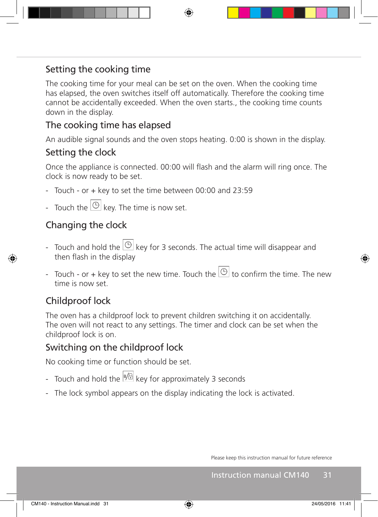## Setting the cooking time

The cooking time for your meal can be set on the oven. When the cooking time has elapsed, the oven switches itself off automatically. Therefore the cooking time cannot be accidentally exceeded. When the oven starts., the cooking time counts down in the display.

## The cooking time has elapsed

An audible signal sounds and the oven stops heating. 0:00 is shown in the display.

#### Setting the clock

Once the appliance is connected. 00:00 will flash and the alarm will ring once. The clock is now ready to be set.

- Touch or + key to set the time between 00:00 and 23:59
- Touch the  $\bigcirc$  key. The time is now set.

## Changing the clock

- Touch and hold the  $\overline{\circlearrowright}$  key for 3 seconds. The actual time will disappear and then flash in the display
- Touch or + key to set the new time. Touch the  $\circledcirc$  to confirm the time. The new time is now set.

## Childproof lock

The oven has a childproof lock to prevent children switching it on accidentally. The oven will not react to any settings. The timer and clock can be set when the childproof lock is on.

## Switching on the childproof lock

No cooking time or function should be set.

- Touch and hold the  $\frac{B}{B}$  key for approximately 3 seconds
- The lock symbol appears on the display indicating the lock is activated.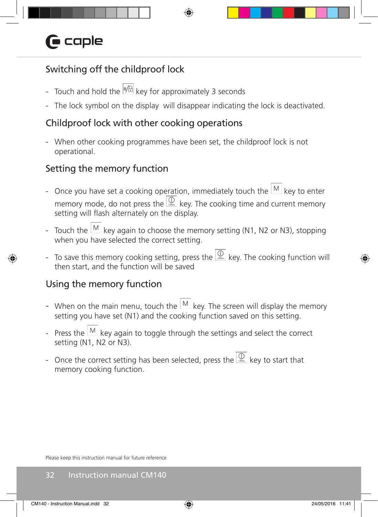# $\bigcap$  caple

## Switching off the childproof lock

- Touch and hold the  $\frac{18}{6}$  key for approximately 3 seconds
- The lock symbol on the display will disappear indicating the lock is deactivated.

## Childproof lock with other cooking operations

- When other cooking programmes have been set, the childproof lock is not operational.

## Setting the memory function

- Once you have set a cooking operation, immediately touch the  $\mathbb{M}$  key to enter memory mode, do not press the  $\frac{D}{2}$  key. The cooking time and current memory setting will flash alternately on the display.
- Touch the  $\mathbb{M}$  key again to choose the memory setting (N1, N2 or N3), stopping when you have selected the correct setting.
- To save this memory cooking setting, press the  $\frac{D}{4}$  key. The cooking function will then start, and the function will be saved

## Using the memory function

- When on the main menu, touch the  $\mathbb{M}$  key. The screen will display the memory setting you have set (N1) and the cooking function saved on this setting.
- Press the  $\mathbb{M}$  key again to toggle through the settings and select the correct setting (N1, N2 or N3).
- Once the correct setting has been selected, press the  $\overline{\overset{\textcircled{\tiny{\mathbb{R}}}{}}\ }$  key to start that memory cooking function.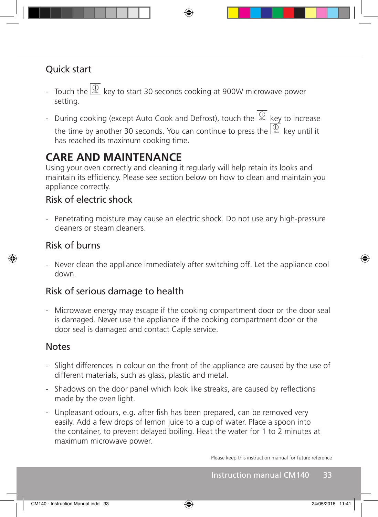## Quick start

- Touch the  $\frac{0}{1000}$  key to start 30 seconds cooking at 900W microwave power setting.
- During cooking (except Auto Cook and Defrost), touch the  $\frac{10}{1000}$  key to increase the time by another 30 seconds. You can continue to press the  $\frac{D}{2}$  key until it has reached its maximum cooking time.

## **CARE AND MAINTENANCE**

Using your oven correctly and cleaning it regularly will help retain its looks and maintain its efficiency. Please see section below on how to clean and maintain you appliance correctly.

#### Risk of electric shock

- Penetrating moisture may cause an electric shock. Do not use any high-pressure cleaners or steam cleaners.

#### Risk of burns

- Never clean the appliance immediately after switching off. Let the appliance cool down.

#### Risk of serious damage to health

- Microwave energy may escape if the cooking compartment door or the door seal is damaged. Never use the appliance if the cooking compartment door or the door seal is damaged and contact Caple service.

#### **Notes**

- Slight differences in colour on the front of the appliance are caused by the use of different materials, such as glass, plastic and metal.
- Shadows on the door panel which look like streaks, are caused by reflections made by the oven light.
- Unpleasant odours, e.g. after fish has been prepared, can be removed very easily. Add a few drops of lemon juice to a cup of water. Place a spoon into the container, to prevent delayed boiling. Heat the water for 1 to 2 minutes at maximum microwave power.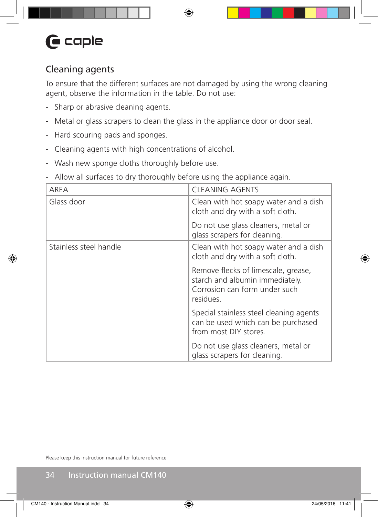## Cleaning agents

To ensure that the different surfaces are not damaged by using the wrong cleaning agent, observe the information in the table. Do not use:

- Sharp or abrasive cleaning agents.
- Metal or glass scrapers to clean the glass in the appliance door or door seal.
- Hard scouring pads and sponges.
- Cleaning agents with high concentrations of alcohol.
- Wash new sponge cloths thoroughly before use.
- Allow all surfaces to dry thoroughly before using the appliance again.

| AREA                   | CLEANING AGENTS                                                                                                      |
|------------------------|----------------------------------------------------------------------------------------------------------------------|
| Glass door             | Clean with hot soapy water and a dish<br>cloth and dry with a soft cloth.                                            |
|                        | Do not use glass cleaners, metal or<br>glass scrapers for cleaning.                                                  |
| Stainless steel handle | Clean with hot soapy water and a dish<br>cloth and dry with a soft cloth.                                            |
|                        | Remove flecks of limescale, grease,<br>starch and albumin immediately.<br>Corrosion can form under such<br>residues. |
|                        | Special stainless steel cleaning agents<br>can be used which can be purchased<br>from most DIY stores.               |
|                        | Do not use glass cleaners, metal or<br>glass scrapers for cleaning.                                                  |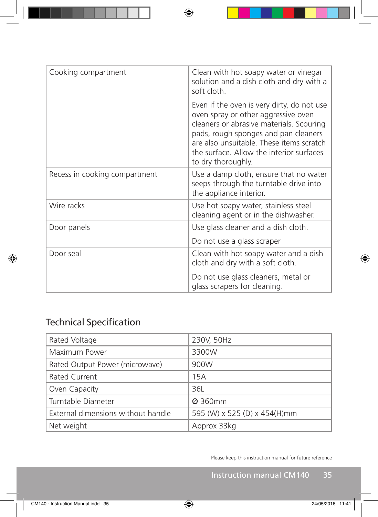| Cooking compartment           | Clean with hot soapy water or vinegar<br>solution and a dish cloth and dry with a<br>soft cloth.                                                                                                                                                                                    |
|-------------------------------|-------------------------------------------------------------------------------------------------------------------------------------------------------------------------------------------------------------------------------------------------------------------------------------|
|                               | Even if the oven is very dirty, do not use<br>oven spray or other aggressive oven<br>cleaners or abrasive materials. Scouring<br>pads, rough sponges and pan cleaners<br>are also unsuitable. These items scratch<br>the surface. Allow the interior surfaces<br>to dry thoroughly. |
| Recess in cooking compartment | Use a damp cloth, ensure that no water<br>seeps through the turntable drive into<br>the appliance interior.                                                                                                                                                                         |
| Wire racks                    | Use hot soapy water, stainless steel<br>cleaning agent or in the dishwasher.                                                                                                                                                                                                        |
| Door panels                   | Use glass cleaner and a dish cloth.                                                                                                                                                                                                                                                 |
|                               | Do not use a glass scraper                                                                                                                                                                                                                                                          |
| Door seal                     | Clean with hot soapy water and a dish<br>cloth and dry with a soft cloth.                                                                                                                                                                                                           |
|                               | Do not use glass cleaners, metal or<br>glass scrapers for cleaning.                                                                                                                                                                                                                 |

## Technical Specification

| Rated Voltage                      | 230V, 50Hz                   |
|------------------------------------|------------------------------|
| Maximum Power                      | 3300W                        |
| Rated Output Power (microwave)     | 900W                         |
| Rated Current                      | 15A                          |
| Oven Capacity                      | 36L                          |
| Turntable Diameter                 | Ø 360mm                      |
| External dimensions without handle | 595 (W) x 525 (D) x 454(H)mm |
| Net weight                         | Approx 33kg                  |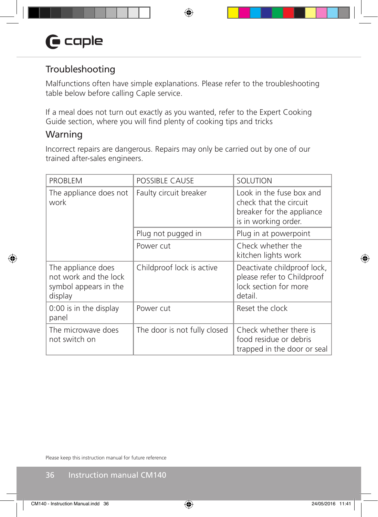## Troubleshooting

Malfunctions often have simple explanations. Please refer to the troubleshooting table below before calling Caple service.

If a meal does not turn out exactly as you wanted, refer to the Expert Cooking Guide section, where you will find plenty of cooking tips and tricks

#### Warning

Incorrect repairs are dangerous. Repairs may only be carried out by one of our trained after-sales engineers.

| <b>PROBLEM</b>                                                                  | <b>POSSIBLE CAUSE</b>        | SOLUTION                                                                                                |
|---------------------------------------------------------------------------------|------------------------------|---------------------------------------------------------------------------------------------------------|
| The appliance does not<br>work                                                  | Faulty circuit breaker       | Look in the fuse box and<br>check that the circuit<br>breaker for the appliance<br>is in working order. |
|                                                                                 | Plug not pugged in           | Plug in at powerpoint                                                                                   |
|                                                                                 | Power cut                    | Check whether the<br>kitchen lights work                                                                |
| The appliance does<br>not work and the lock<br>symbol appears in the<br>display | Childproof lock is active    | Deactivate childproof lock,<br>please refer to Childproof<br>lock section for more<br>detail.           |
| 0:00 is in the display<br>panel                                                 | Power cut                    | Reset the clock                                                                                         |
| The microwave does<br>not switch on                                             | The door is not fully closed | Check whether there is<br>food residue or debris<br>trapped in the door or seal                         |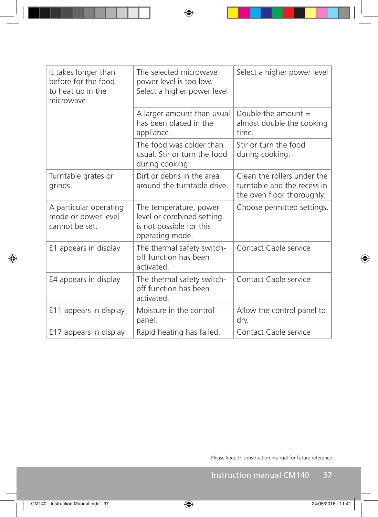| It takes longer than<br>before for the food<br>to heat up in the<br>microwave | The selected microwave<br>power level is too low.<br>Select a higher power level.                  | Select a higher power level                                                              |
|-------------------------------------------------------------------------------|----------------------------------------------------------------------------------------------------|------------------------------------------------------------------------------------------|
|                                                                               | A larger amount than usual<br>has been placed in the<br>appliance.                                 | Double the amount $=$<br>almost double the cooking<br>time.                              |
|                                                                               | The food was colder than<br>usual. Stir or turn the food<br>during cooking.                        | Stir or turn the food<br>during cooking.                                                 |
| Turntable grates or<br>grinds.                                                | Dirt or debris in the area<br>around the turntable drive.                                          | Clean the rollers under the<br>turntable and the recess in<br>the oven floor thoroughly. |
| A particular operating<br>mode or power level<br>cannot be set.               | The temperature, power<br>level or combined setting<br>is not possible for this<br>operating mode. | Choose permitted settings.                                                               |
| E1 appears in display                                                         | The thermal safety switch-<br>off function has been<br>activated.                                  | Contact Caple service                                                                    |
| E4 appears in display                                                         | The thermal safety switch-<br>off function has been<br>activated.                                  | Contact Caple service                                                                    |
| E11 appears in display                                                        | Moisture in the control<br>panel.                                                                  | Allow the control panel to<br>dry.                                                       |
| E17 appears in display                                                        | Rapid heating has failed.                                                                          | Contact Caple service                                                                    |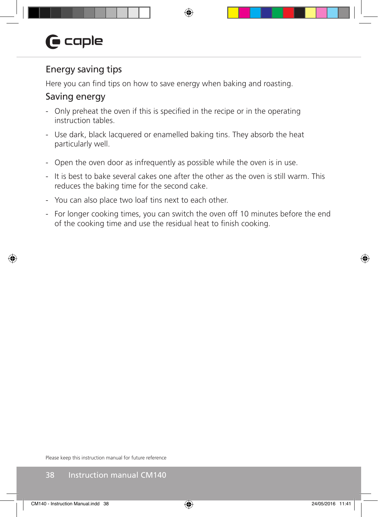## Energy saving tips

Here you can find tips on how to save energy when baking and roasting.

#### Saving energy

- Only preheat the oven if this is specified in the recipe or in the operating instruction tables.
- Use dark, black lacquered or enamelled baking tins. They absorb the heat particularly well.
- Open the oven door as infrequently as possible while the oven is in use.
- It is best to bake several cakes one after the other as the oven is still warm. This reduces the baking time for the second cake.
- You can also place two loaf tins next to each other.
- For longer cooking times, you can switch the oven off 10 minutes before the end of the cooking time and use the residual heat to finish cooking.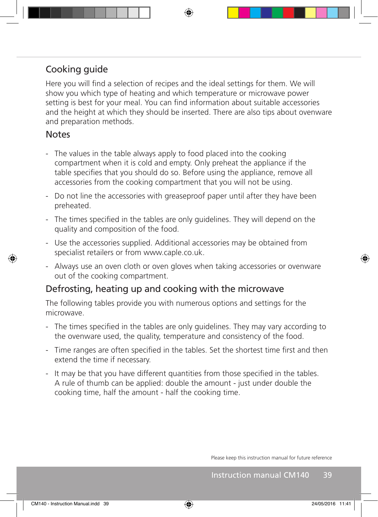## Cooking guide

Here you will find a selection of recipes and the ideal settings for them. We will show you which type of heating and which temperature or microwave power setting is best for your meal. You can find information about suitable accessories and the height at which they should be inserted. There are also tips about ovenware and preparation methods.

#### **Notes**

- The values in the table always apply to food placed into the cooking compartment when it is cold and empty. Only preheat the appliance if the table specifies that you should do so. Before using the appliance, remove all accessories from the cooking compartment that you will not be using.
- Do not line the accessories with greaseproof paper until after they have been preheated.
- The times specified in the tables are only guidelines. They will depend on the quality and composition of the food.
- Use the accessories supplied. Additional accessories may be obtained from specialist retailers or from www.caple.co.uk.
- Always use an oven cloth or oven gloves when taking accessories or ovenware out of the cooking compartment.

#### Defrosting, heating up and cooking with the microwave

The following tables provide you with numerous options and settings for the microwave.

- The times specified in the tables are only guidelines. They may vary according to the ovenware used, the quality, temperature and consistency of the food.
- Time ranges are often specified in the tables. Set the shortest time first and then extend the time if necessary.
- It may be that you have different quantities from those specified in the tables. A rule of thumb can be applied: double the amount - just under double the cooking time, half the amount - half the cooking time.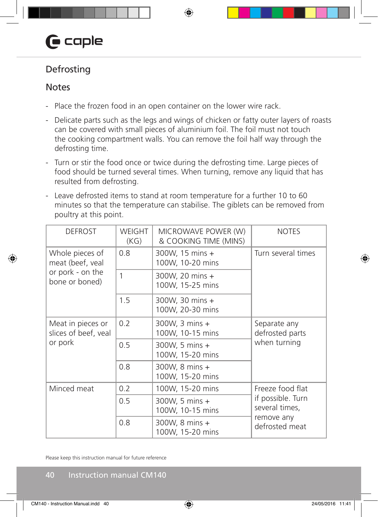# $\mathbf \Theta$  caple

## Defrosting

#### **Notes**

- Place the frozen food in an open container on the lower wire rack.
- Delicate parts such as the legs and wings of chicken or fatty outer layers of roasts can be covered with small pieces of aluminium foil. The foil must not touch the cooking compartment walls. You can remove the foil half way through the defrosting time.
- Turn or stir the food once or twice during the defrosting time. Large pieces of food should be turned several times. When turning, remove any liquid that has resulted from defrosting.
- Leave defrosted items to stand at room temperature for a further 10 to 60 minutes so that the temperature can stabilise. The giblets can be removed from poultry at this point.

| <b>DEFROST</b>                                       | <b>WEIGHT</b><br>(KG) | MICROWAVE POWER (W)<br>& COOKING TIME (MINS) | <b>NOTES</b>                                    |  |
|------------------------------------------------------|-----------------------|----------------------------------------------|-------------------------------------------------|--|
| Whole pieces of<br>meat (beef, veal                  | 0.8                   | 300W, 15 mins +<br>100W, 10-20 mins          | Turn several times                              |  |
| or pork - on the<br>bone or boned)                   | 1                     | 300W, 20 mins +<br>100W, 15-25 mins          |                                                 |  |
|                                                      | 1.5                   | 300W, 30 mins +<br>100W, 20-30 mins          |                                                 |  |
| Meat in pieces or<br>slices of beef, veal<br>or pork | 0.2                   | 300W, 3 mins +<br>100W, 10-15 mins           | Separate any<br>defrosted parts<br>when turning |  |
|                                                      | 0.5                   | 300W, 5 mins +<br>100W, 15-20 mins           |                                                 |  |
|                                                      | 0.8                   | 300W, 8 mins +<br>100W, 15-20 mins           |                                                 |  |
| Minced meat                                          | 0.2                   | 100W, 15-20 mins                             | Freeze food flat                                |  |
|                                                      | 0.5                   | 300W, 5 mins +<br>100W, 10-15 mins           | if possible. Turn<br>several times,             |  |
|                                                      | 0.8                   | 300W, 8 mins +<br>100W, 15-20 mins           | remove any<br>defrosted meat                    |  |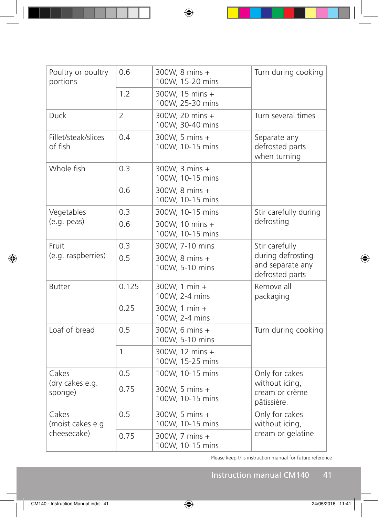| Poultry or poultry<br>portions            | 0.6            | 300W, 8 mins +<br>100W, 15-20 mins  | Turn during cooking                                      |  |
|-------------------------------------------|----------------|-------------------------------------|----------------------------------------------------------|--|
|                                           | 1.2            | 300W, 15 mins +<br>100W, 25-30 mins |                                                          |  |
| Duck                                      | $\overline{2}$ | 300W, 20 mins +<br>100W, 30-40 mins | Turn several times                                       |  |
| Fillet/steak/slices<br>of fish            | 0.4            | 300W, 5 mins +<br>100W, 10-15 mins  | Separate any<br>defrosted parts<br>when turning          |  |
| Whole fish                                | 0.3            | 300W, 3 mins +<br>100W, 10-15 mins  |                                                          |  |
|                                           | 0.6            | 300W, 8 mins +<br>100W, 10-15 mins  |                                                          |  |
| Vegetables                                | 0.3            | 300W, 10-15 mins                    | Stir carefully during                                    |  |
| (e.g. peak)                               | 0.6            | 300W, 10 mins +<br>100W, 10-15 mins | defrosting                                               |  |
| Fruit                                     | 0.3            | 300W, 7-10 mins                     | Stir carefully                                           |  |
| (e.g. raspberries)                        | 0.5            | 300W, 8 mins +<br>100W, 5-10 mins   | during defrosting<br>and separate any<br>defrosted parts |  |
| <b>Butter</b>                             | 0.125          | 300W, 1 min +<br>100W, 2-4 mins     | Remove all<br>packaging                                  |  |
|                                           | 0.25           | 300W, 1 min +<br>100W, 2-4 mins     |                                                          |  |
| Loaf of bread                             | 0.5            | 300W, 6 mins +<br>100W, 5-10 mins   | Turn during cooking                                      |  |
|                                           | $\mathbf{1}$   | 300W, 12 mins +<br>100W, 15-25 mins |                                                          |  |
| Cakes<br>(dry cakes e.g.<br>sponge)       | 0.5            | 100W, 10-15 mins                    | Only for cakes                                           |  |
|                                           | 0.75           | 300W, 5 mins +<br>100W, 10-15 mins  | without icing,<br>cream or crème<br>pâtissière.          |  |
| Cakes<br>(moist cakes e.g.<br>cheesecake) | 0.5            | 300W, 5 mins +<br>100W, 10-15 mins  | Only for cakes<br>without icing,                         |  |
|                                           | 0.75           | 300W, 7 mins +<br>100W, 10-15 mins  | cream or gelatine                                        |  |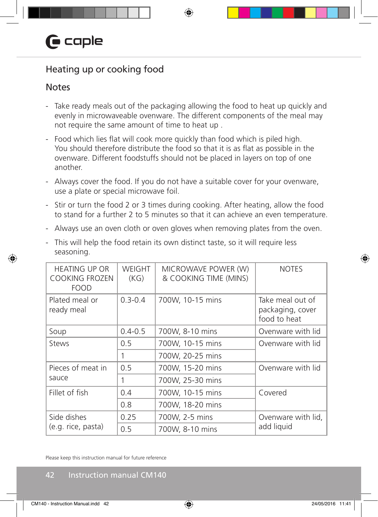## Heating up or cooking food

#### **Notes**

- Take ready meals out of the packaging allowing the food to heat up quickly and evenly in microwaveable ovenware. The different components of the meal may not require the same amount of time to heat up .
- Food which lies flat will cook more quickly than food which is piled high. You should therefore distribute the food so that it is as flat as possible in the ovenware. Different foodstuffs should not be placed in layers on top of one another.
- Always cover the food. If you do not have a suitable cover for your ovenware, use a plate or special microwave foil.
- Stir or turn the food 2 or 3 times during cooking. After heating, allow the food to stand for a further 2 to 5 minutes so that it can achieve an even temperature.
- Always use an oven cloth or oven gloves when removing plates from the oven.

| seasoning.                                                   |                       | ind will neip the rood retain its own abtinet taste, so it will require itss |                                                      |  |
|--------------------------------------------------------------|-----------------------|------------------------------------------------------------------------------|------------------------------------------------------|--|
| <b>HEATING UP OR</b><br><b>COOKING FROZEN</b><br><b>FOOD</b> | <b>WEIGHT</b><br>(KG) | MICROWAVE POWER (W)<br>& COOKING TIME (MINS)                                 | <b>NOTES</b>                                         |  |
| Plated meal or<br>ready meal                                 | $0.3 - 0.4$           | 700W, 10-15 mins                                                             | Take meal out of<br>packaging, cover<br>food to heat |  |
| Soup                                                         | $0.4 - 0.5$           | 700W, 8-10 mins                                                              | Ovenware with lid                                    |  |
| <b>Stews</b>                                                 | 0.5                   | 700W, 10-15 mins                                                             | Ovenware with lid                                    |  |
|                                                              | 1                     | 700W, 20-25 mins                                                             |                                                      |  |
| Pieces of meat in                                            | 0.5                   | 700W, 15-20 mins                                                             | Ovenware with lid                                    |  |
| sauce                                                        | 1                     | 700W, 25-30 mins                                                             |                                                      |  |
| Fillet of fish                                               | 0.4                   | 700W, 10-15 mins                                                             | Covered                                              |  |
|                                                              | 0.8                   | 700W, 18-20 mins                                                             |                                                      |  |
| Side dishes                                                  | 0.25                  | 700W, 2-5 mins                                                               | Ovenware with lid,                                   |  |
| (e.g. rice, pasta)                                           | 0.5                   | 700W, 8-10 mins                                                              | add liquid                                           |  |

- This will help the food retain its own distinct taste, so it will require less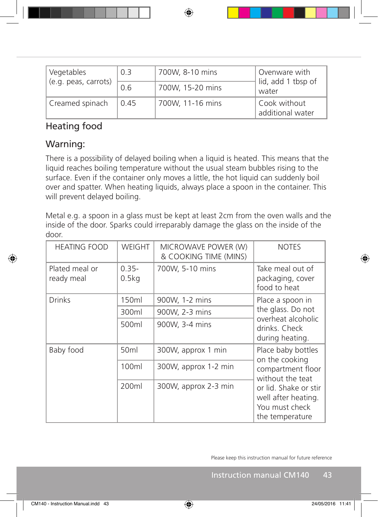| Vegetables<br>(e.g. peas, carrots) | 0.3  | 700W, 8-10 mins  | Ovenware with<br>lid, add 1 tbsp of |  |
|------------------------------------|------|------------------|-------------------------------------|--|
|                                    | 0.6  | 700W, 15-20 mins | water                               |  |
| Creamed spinach                    | 0.45 | 700W, 11-16 mins | Cook without<br>additional water    |  |

## Heating food

## Warning:

There is a possibility of delayed boiling when a liquid is heated. This means that the liquid reaches boiling temperature without the usual steam bubbles rising to the surface. Even if the container only moves a little, the hot liquid can suddenly boil over and spatter. When heating liquids, always place a spoon in the container. This will prevent delayed boiling.

Metal e.g. a spoon in a glass must be kept at least 2cm from the oven walls and the inside of the door. Sparks could irreparably damage the glass on the inside of the door.

| <b>HEATING FOOD</b>          | WEIGHT            | MICROWAVE POWER (W)<br>& COOKING TIME (MINS) | <b>NOTES</b>                                                                      |  |
|------------------------------|-------------------|----------------------------------------------|-----------------------------------------------------------------------------------|--|
| Plated meal or<br>ready meal | $0.35 -$<br>0.5kg | 700W, 5-10 mins                              | Take meal out of<br>packaging, cover<br>food to heat                              |  |
| <b>Drinks</b>                | 150ml             | 900W, 1-2 mins                               | Place a spoon in                                                                  |  |
|                              | 300ml             | 900W, 2-3 mins                               | the glass. Do not                                                                 |  |
|                              | 500ml             | 900W, 3-4 mins                               | overheat alcoholic<br>drinks. Check<br>during heating.                            |  |
| Baby food                    | 50 <sub>ml</sub>  | 300W, approx 1 min                           | Place baby bottles<br>on the cooking                                              |  |
|                              | 100ml             | 300W, approx 1-2 min                         | compartment floor<br>without the teat                                             |  |
|                              | 200ml             | 300W, approx 2-3 min                         | or lid. Shake or stir<br>well after heating.<br>You must check<br>the temperature |  |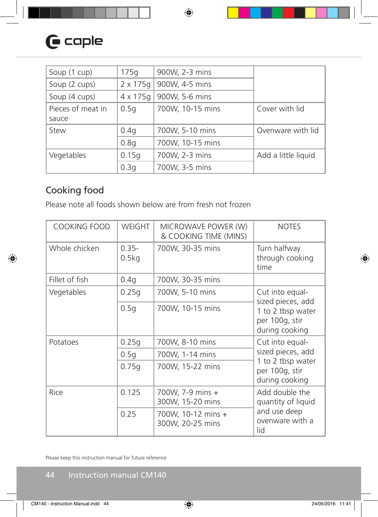| Soup (1 cup)      | 175q             | 900W, 2-3 mins   |                     |
|-------------------|------------------|------------------|---------------------|
| Soup (2 cups)     | $2 \times 175$ g | 900W, 4-5 mins   |                     |
| Soup (4 cups)     | $4 \times 175$ g | 900W, 5-6 mins   |                     |
| Pieces of meat in | 0.5q             | 700W, 10-15 mins | Cover with lid      |
| sauce             |                  |                  |                     |
| Stew              | 0.4q             | 700W, 5-10 mins  | Ovenware with lid   |
|                   | 0.8q             | 700W, 10-15 mins |                     |
| Vegetables        | 0.15q            | 700W, 2-3 mins   | Add a little liquid |
|                   | 0.3q             | 700W, 3-5 mins   |                     |

## Cooking food

Please note all foods shown below are from fresh not frozen

| <b>COOKING FOOD</b> | <b>WEIGHT</b>     | MICROWAVE POWER (W)<br>& COOKING TIME (MINS) | <b>NOTES</b>                                          |  |
|---------------------|-------------------|----------------------------------------------|-------------------------------------------------------|--|
| Whole chicken       | $0.35 -$<br>0.5kg | 700W, 30-35 mins                             | Turn halfway<br>through cooking<br>time               |  |
| Fillet of fish      | 0.4q              | 700W, 30-35 mins                             |                                                       |  |
| Vegetables          | 0.25q             | 700W, 5-10 mins                              | Cut into equal-<br>sized pieces, add                  |  |
|                     | 0.5q              | 700W, 10-15 mins                             | 1 to 2 tbsp water<br>per 100g, stir<br>during cooking |  |
| Potatoes            | 0.25q             | 700W, 8-10 mins                              | Cut into equal-                                       |  |
|                     | 0.5q              | 700W, 1-14 mins                              | sized pieces, add                                     |  |
|                     | 0.75q             | 700W, 15-22 mins                             | 1 to 2 tbsp water<br>per 100g, stir<br>during cooking |  |
| Rice                | 0.125             | 700W, 7-9 mins +<br>300W, 15-20 mins         | Add double the<br>quantity of liquid                  |  |
|                     | 0.25              | 700W, 10-12 mins +<br>300W, 20-25 mins       | and use deep<br>ovenware with a<br>lid                |  |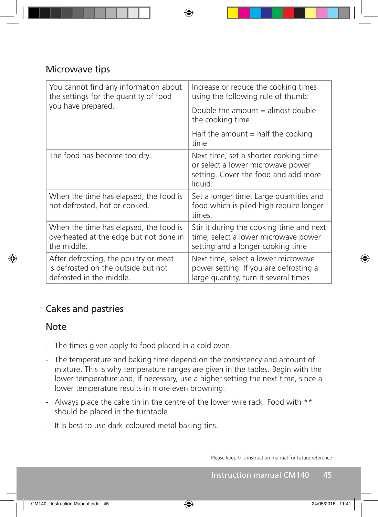#### Microwave tips

| You cannot find any information about<br>the settings for the quantity of food                           | Increase or reduce the cooking times<br>using the following rule of thumb:                                                    |  |  |
|----------------------------------------------------------------------------------------------------------|-------------------------------------------------------------------------------------------------------------------------------|--|--|
| you have prepared.                                                                                       | Double the amount $=$ almost double<br>the cooking time                                                                       |  |  |
|                                                                                                          | Half the amount $=$ half the cooking<br>time                                                                                  |  |  |
| The food has become too dry.                                                                             | Next time, set a shorter cooking time<br>or select a lower microwave power<br>setting. Cover the food and add more<br>liquid. |  |  |
| When the time has elapsed, the food is<br>not defrosted, hot or cooked.                                  | Set a longer time. Large quantities and<br>food which is piled high require longer<br>times.                                  |  |  |
| When the time has elapsed, the food is<br>overheated at the edge but not done in<br>the middle.          | Stir it during the cooking time and next<br>time, select a lower microwave power<br>setting and a longer cooking time         |  |  |
| After defrosting, the poultry or meat<br>is defrosted on the outside but not<br>defrosted in the middle. | Next time, select a lower microwave<br>power setting. If you are defrosting a<br>large quantity, turn it several times        |  |  |

## Cakes and pastries

#### Note

- The times given apply to food placed in a cold oven.
- The temperature and baking time depend on the consistency and amount of mixture. This is why temperature ranges are given in the tables. Begin with the lower temperature and, if necessary, use a higher setting the next time, since a lower temperature results in more even browning.
- Always place the cake tin in the centre of the lower wire rack. Food with \*\* should be placed in the turntable
- It is best to use dark-coloured metal baking tins.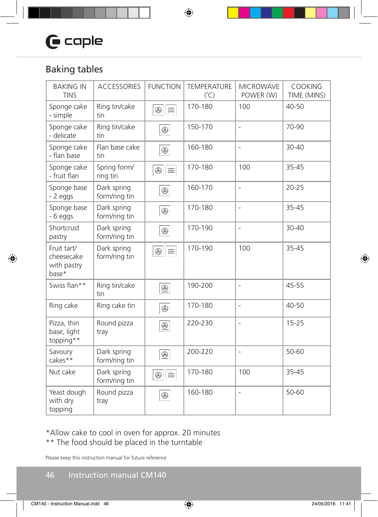# $G$  caple

## Baking tables

| <b>BAKING IN</b><br><b>TINS</b>                   | <b>ACCESSORIES</b>           | <b>FUNCTION</b>                                                  | <b>TEMPERATURE</b><br>$(^{\circ}C)$ | <b>MICROWAVE</b><br>POWER (W) | <b>COOKING</b><br>TIME (MINS) |
|---------------------------------------------------|------------------------------|------------------------------------------------------------------|-------------------------------------|-------------------------------|-------------------------------|
| Sponge cake<br>- simple                           | Ring tin/cake<br>tin         | $^{\circledR}$<br>$\widetilde{\mathbb{S}\mathbb{S}}$             | 170-180                             | 100                           | $40 - 50$                     |
| Sponge cake<br>- delicate                         | Ring tin/cake<br>tin         | $\circledR$                                                      | 150-170                             | $\overline{\phantom{0}}$      | 70-90                         |
| Sponge cake<br>- flan base                        | Flan base cake<br>tin        | $\circledR$                                                      | 160-180                             | $\overline{\phantom{a}}$      | $30 - 40$                     |
| Sponge cake<br>- fruit flan                       | Spring form/<br>ring tin     | $^{\circledR}$<br>$\widetilde{\mathbb{Z}}\widetilde{\mathbb{Z}}$ | 170-180                             | 100                           | 35-45                         |
| Sponge base<br>- 2 eggs                           | Dark spring<br>form/ring tin | $^{\circledR}$                                                   | 160-170                             | $\overline{\phantom{m}}$      | $20 - 25$                     |
| Sponge base<br>$-6$ eggs                          | Dark spring<br>form/ring tin | $\circledR$                                                      | 170-180                             | $\overline{\phantom{0}}$      | 35-45                         |
| Shortcrust<br>pastry                              | Dark spring<br>form/ring tin | $^{\circledR}$                                                   | 170-190                             | $\overline{\phantom{a}}$      | 30-40                         |
| Fruit tart/<br>cheesecake<br>with pastry<br>base* | Dark spring<br>form/ring tin | $^{\circledR}$<br>$\widetilde{\mathbb{S}\mathbb{S}}$             | 170-190                             | 100                           | 35-45                         |
| Swiss flan**                                      | Ring tin/cake<br>tin         | $^{\circledR}$                                                   | 190-200                             | $\overline{\phantom{a}}$      | 45-55                         |
| Ring cake                                         | Ring cake tin                | $^{\circledR}$                                                   | 170-180                             | $\overline{\phantom{0}}$      | 40-50                         |
| Pizza, thin<br>base, light<br>topping**           | Round pizza<br>tray          | $\underline{\circledast}$                                        | 220-230                             | $\overline{\phantom{m}}$      | $15 - 25$                     |
| Savoury<br>cakes**                                | Dark spring<br>form/ring tin | $\underline{\circledast}$                                        | 200-220                             | $\overline{\phantom{0}}$      | 50-60                         |
| Nut cake                                          | Dark spring<br>form/ring tin | $\widetilde{\mathbb{Z}}\widetilde{\mathbb{Z}}$<br>$^{\circledR}$ | 170-180                             | 100                           | 35-45                         |
| Yeast dough<br>with dry<br>topping                | Round pizza<br>tray          | $^{\circledR}$                                                   | 160-180                             | $\frac{1}{2}$                 | 50-60                         |

#### \*Allow cake to cool in oven for approx. 20 minutes \*\* The food should be placed in the turntable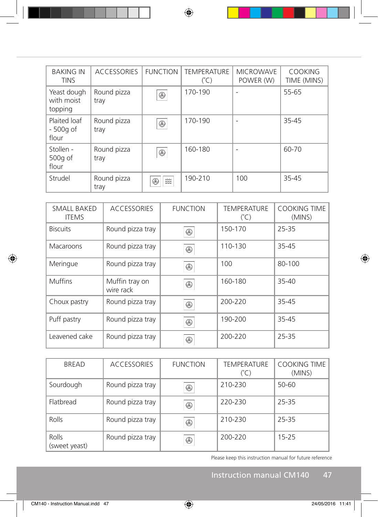| <b>BAKING IN</b><br><b>TINS</b>      | <b>ACCESSORIES</b>  | <b>FUNCTION</b>                  | <b>TEMPERATURE</b><br>$(^{\circ}C)$ | <b>MICROWAVE</b><br>POWER (W) | <b>COOKING</b><br>TIME (MINS) |
|--------------------------------------|---------------------|----------------------------------|-------------------------------------|-------------------------------|-------------------------------|
| Yeast dough<br>with moist<br>topping | Round pizza<br>tray | $^{\circledR}$                   | 170-190                             | $\overline{\phantom{a}}$      | 55-65                         |
| Plaited loaf<br>- 500g of<br>flour   | Round pizza<br>tray | $\circledR$                      | 170-190                             | $\overline{\phantom{0}}$      | 35-45                         |
| Stollen -<br>500g of<br>flour        | Round pizza<br>tray | $^{\circledR}$                   | 160-180                             | $\qquad \qquad -$             | 60-70                         |
| Strudel                              | Round pizza<br>tray | $\frac{2}{22}$<br>$^{\circledR}$ | 190-210                             | 100                           | 35-45                         |

| SMALL BAKED<br><b>ITEMS</b> | <b>ACCESSORIES</b>          | <b>FUNCTION</b> | <b>TEMPERATURE</b><br>$(^{\circ}C)$ | <b>COOKING TIME</b><br>(MINS) |
|-----------------------------|-----------------------------|-----------------|-------------------------------------|-------------------------------|
| <b>Biscuits</b>             | Round pizza tray            | $^{\circledR}$  | 150-170                             | 25-35                         |
| Macaroons                   | Round pizza tray            | $^{\circledR}$  | 110-130                             | 35-45                         |
| Meringue                    | Round pizza tray            | $^{\circledR}$  | 100                                 | 80-100                        |
| <b>Muffins</b>              | Muffin tray on<br>wire rack | $^{\circledR}$  | 160-180                             | 35-40                         |
| Choux pastry                | Round pizza tray            | $^{\circledR}$  | 200-220                             | 35-45                         |
| Puff pastry                 | Round pizza tray            | $^{\circledR}$  | 190-200                             | 35-45                         |
| Leavened cake               | Round pizza tray            | ⊛               | 200-220                             | 25-35                         |

| <b>BREAD</b>           | <b>ACCESSORIES</b> | <b>FUNCTION</b> | <b>TEMPERATURE</b><br>$(^{\circ}C)$ | <b>COOKING TIME</b><br>(MINS) |
|------------------------|--------------------|-----------------|-------------------------------------|-------------------------------|
| Sourdough              | Round pizza tray   | $^{\circledR}$  | 210-230                             | 50-60                         |
| Flatbread              | Round pizza tray   | $^{\circledR}$  | 220-230                             | 25-35                         |
| Rolls                  | Round pizza tray   | $^{\circledR}$  | 210-230                             | 25-35                         |
| Rolls<br>(sweet yeast) | Round pizza tray   | $^{\circledR}$  | 200-220                             | $15 - 25$                     |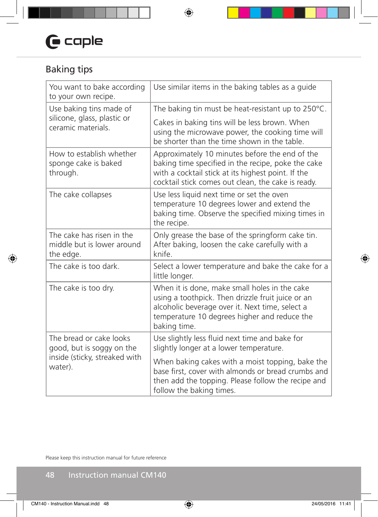# $\mathbf \Theta$  caple

## Baking tips

| You want to bake according<br>to your own recipe.                    | Use similar items in the baking tables as a guide                                                                                                                                                                     |
|----------------------------------------------------------------------|-----------------------------------------------------------------------------------------------------------------------------------------------------------------------------------------------------------------------|
| Use baking tins made of                                              | The baking tin must be heat-resistant up to 250°C.                                                                                                                                                                    |
| silicone, glass, plastic or<br>ceramic materials.                    | Cakes in baking tins will be less brown. When<br>using the microwave power, the cooking time will<br>be shorter than the time shown in the table.                                                                     |
| How to establish whether<br>sponge cake is baked<br>through.         | Approximately 10 minutes before the end of the<br>baking time specified in the recipe, poke the cake<br>with a cocktail stick at its highest point. If the<br>cocktail stick comes out clean, the cake is ready.      |
| The cake collapses                                                   | Use less liquid next time or set the oven<br>temperature 10 degrees lower and extend the<br>baking time. Observe the specified mixing times in<br>the recipe.                                                         |
| The cake has risen in the<br>middle but is lower around<br>the edge. | Only grease the base of the springform cake tin.<br>After baking, loosen the cake carefully with a<br>knife.                                                                                                          |
| The cake is too dark.                                                | Select a lower temperature and bake the cake for a<br>little longer.                                                                                                                                                  |
| The cake is too dry.                                                 | When it is done, make small holes in the cake<br>using a toothpick. Then drizzle fruit juice or an<br>alcoholic beverage over it. Next time, select a<br>temperature 10 degrees higher and reduce the<br>baking time. |
| The bread or cake looks<br>good, but is soggy on the                 | Use slightly less fluid next time and bake for<br>slightly longer at a lower temperature.                                                                                                                             |
| inside (sticky, streaked with<br>water).                             | When baking cakes with a moist topping, bake the<br>base first, cover with almonds or bread crumbs and<br>then add the topping. Please follow the recipe and<br>follow the baking times.                              |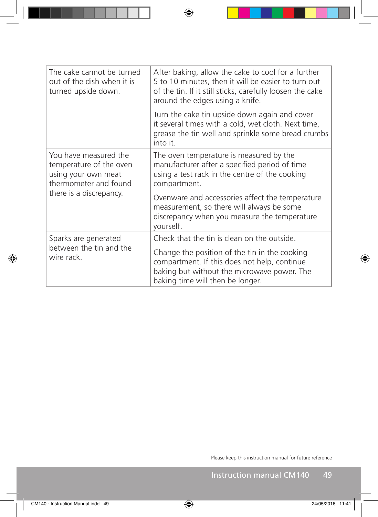| The cake cannot be turned<br>out of the dish when it is<br>turned upside down.                   | After baking, allow the cake to cool for a further<br>5 to 10 minutes, then it will be easier to turn out<br>of the tin. If it still sticks, carefully loosen the cake<br>around the edges using a knife. |  |  |
|--------------------------------------------------------------------------------------------------|-----------------------------------------------------------------------------------------------------------------------------------------------------------------------------------------------------------|--|--|
|                                                                                                  | Turn the cake tin upside down again and cover<br>it several times with a cold, wet cloth. Next time,<br>grease the tin well and sprinkle some bread crumbs<br>into it.                                    |  |  |
| You have measured the<br>temperature of the oven<br>using your own meat<br>thermometer and found | The oven temperature is measured by the<br>manufacturer after a specified period of time<br>using a test rack in the centre of the cooking<br>compartment.                                                |  |  |
| there is a discrepancy.                                                                          | Ovenware and accessories affect the temperature<br>measurement, so there will always be some<br>discrepancy when you measure the temperature<br>yourself.                                                 |  |  |
| Sparks are generated                                                                             | Check that the tin is clean on the outside.                                                                                                                                                               |  |  |
| between the tin and the<br>wire rack.                                                            | Change the position of the tin in the cooking<br>compartment. If this does not help, continue<br>baking but without the microwave power. The<br>baking time will then be longer.                          |  |  |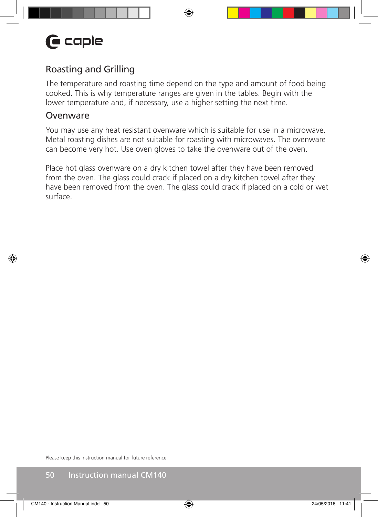## Roasting and Grilling

The temperature and roasting time depend on the type and amount of food being cooked. This is why temperature ranges are given in the tables. Begin with the lower temperature and, if necessary, use a higher setting the next time.

#### **Ovenware**

You may use any heat resistant ovenware which is suitable for use in a microwave. Metal roasting dishes are not suitable for roasting with microwaves. The ovenware can become very hot. Use oven gloves to take the ovenware out of the oven.

Place hot glass ovenware on a dry kitchen towel after they have been removed from the oven. The glass could crack if placed on a dry kitchen towel after they have been removed from the oven. The glass could crack if placed on a cold or wet surface.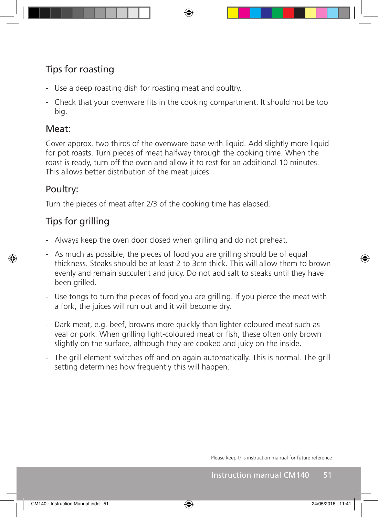## Tips for roasting

- Use a deep roasting dish for roasting meat and poultry.
- Check that your ovenware fits in the cooking compartment. It should not be too big.

## Meat:

Cover approx. two thirds of the ovenware base with liquid. Add slightly more liquid for pot roasts. Turn pieces of meat halfway through the cooking time. When the roast is ready, turn off the oven and allow it to rest for an additional 10 minutes. This allows better distribution of the meat juices.

## Poultry:

Turn the pieces of meat after 2/3 of the cooking time has elapsed.

## Tips for grilling

- Always keep the oven door closed when grilling and do not preheat.
- As much as possible, the pieces of food you are grilling should be of equal thickness. Steaks should be at least 2 to 3cm thick. This will allow them to brown evenly and remain succulent and juicy. Do not add salt to steaks until they have been grilled.
- Use tongs to turn the pieces of food you are grilling. If you pierce the meat with a fork, the juices will run out and it will become dry.
- Dark meat, e.g. beef, browns more quickly than lighter-coloured meat such as veal or pork. When grilling light-coloured meat or fish, these often only brown slightly on the surface, although they are cooked and juicy on the inside.
- The grill element switches off and on again automatically. This is normal. The grill setting determines how frequently this will happen.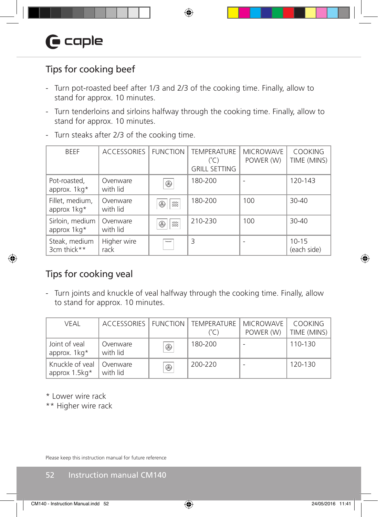## Tips for cooking beef

- Turn pot-roasted beef after 1/3 and 2/3 of the cooking time. Finally, allow to stand for approx. 10 minutes.
- Turn tenderloins and sirloins halfway through the cooking time. Finally, allow to stand for approx. 10 minutes.
- Turn steaks after 2/3 of the cooking time.

| <b>BFFF</b>                    | <b>ACCESSORIES</b>   | <b>FUNCTION</b>     | <b>TEMPERATURE</b><br>$(^{\circ}C)$<br><b>GRILL SETTING</b> | <b>MICROWAVE</b><br>POWER (W) | <b>COOKING</b><br>TIME (MINS) |
|--------------------------------|----------------------|---------------------|-------------------------------------------------------------|-------------------------------|-------------------------------|
| Pot-roasted,<br>approx. 1kg*   | Ovenware<br>with lid | $^{\circledR}$      | 180-200                                                     |                               | 120-143                       |
| Fillet, medium,<br>approx 1kg* | Ovenware<br>with lid | 燚<br>$\circledR$    | 180-200                                                     | 100                           | $30 - 40$                     |
| Sirloin, medium<br>approx 1kg* | Ovenware<br>with lid | 燚<br>$^{\circledR}$ | 210-230                                                     | 100                           | $30 - 40$                     |
| Steak, medium<br>3cm thick**   | Higher wire<br>rack  | ww                  | 3                                                           |                               | $10 - 15$<br>(each side)      |

## Tips for cooking veal

- Turn joints and knuckle of veal halfway through the cooking time. Finally, allow to stand for approx. 10 minutes.

| VEAL                               |                      |             | ACCESSORIES   FUNCTION   TEMPERATURE<br>(°C) | <b>MICROWAVE</b><br>POWER (W) | <b>COOKING</b><br>TIME (MINS) |
|------------------------------------|----------------------|-------------|----------------------------------------------|-------------------------------|-------------------------------|
| Joint of yeal<br>approx. 1kg*      | Ovenware<br>with lid | $\circledR$ | 180-200                                      |                               | 110-130                       |
| Knuckle of yeal<br>approx $1.5kg*$ | Ovenware<br>with lid | $\circledR$ | 200-220                                      |                               | 120-130                       |

\* Lower wire rack

\*\* Higher wire rack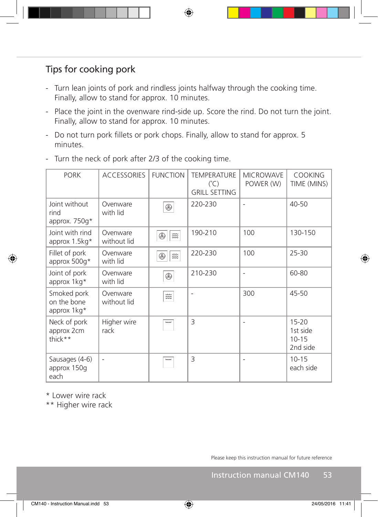## Tips for cooking pork

- Turn lean joints of pork and rindless joints halfway through the cooking time. Finally, allow to stand for approx. 10 minutes.
- Place the joint in the ovenware rind-side up. Score the rind. Do not turn the joint. Finally, allow to stand for approx. 10 minutes.
- Do not turn pork fillets or pork chops. Finally, allow to stand for approx. 5 minutes.
- PORK | ACCESSORIES | FUNCTION | TEMPERATURE MICROWAVE COOKING POWER (W) TIME (MINS)  $(^\circ C)$ GRILL SETTING Joint without Ovenware 220-230 - 40-50  $^{\circledR}$ with lid rind approx. 750g\* Joint with rind Ovenware 190-210 100 130-150  $\circledR$   $\approx$ without lid approx 1.5kg\* Fillet of pork Ovenware 220-230 100 25-30  $\circledR$   $\approx$ approx 500g\* with lid Joint of pork Ovenware 210-230 |- | 60-80  $^{\circledR}$ with lid approx 1kg\* Smoked pork Ovenware - 300 45-50 燚 on the bone without lid approx 1kg\* Neck of pork Higher wire  $3$   $\vert$  - 15-20 approx 2cm rack 1st side thick\*\* 10-15 2nd side Sausages (4-6) - 3 - 10-15 approx 150g each side each
- Turn the neck of pork after 2/3 of the cooking time.

\* Lower wire rack

\*\* Higher wire rack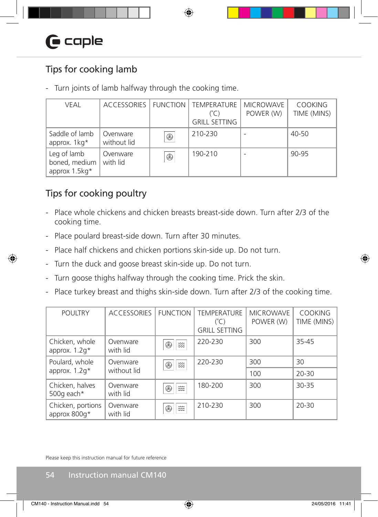## Tips for cooking lamb

- Turn joints of lamb halfway through the cooking time.

| <b>VEAL</b>                                   | ACCESSORIES   FUNCTION  |             | <b>TEMPERATURE</b><br>(°C)<br><b>GRILL SETTING</b> | <b>MICROWAVE</b><br>POWER (W) | <b>COOKING</b><br>TIME (MINS) |
|-----------------------------------------------|-------------------------|-------------|----------------------------------------------------|-------------------------------|-------------------------------|
| Saddle of lamb<br>approx. 1kg*                | Ovenware<br>without lid | $\circledR$ | 210-230                                            |                               | 40-50                         |
| Leg of lamb<br>boned, medium<br>approx 1.5kg* | Ovenware<br>with lid    | $\circledR$ | 190-210                                            |                               | 90-95                         |

## Tips for cooking poultry

- Place whole chickens and chicken breasts breast-side down. Turn after 2/3 of the cooking time.
- Place poulard breast-side down. Turn after 30 minutes.
- Place half chickens and chicken portions skin-side up. Do not turn.
- Turn the duck and goose breast skin-side up. Do not turn.
- Turn goose thighs halfway through the cooking time. Prick the skin.
- Place turkey breast and thighs skin-side down. Turn after 2/3 of the cooking time.

| <b>POULTRY</b>                    | <b>ACCESSORIES</b>   | <b>FUNCTION</b>                             | <b>TEMPERATURE</b><br>$(^{\circ}$ C)<br><b>GRILL SETTING</b> | <b>MICROWAVE</b><br>POWER (W) | <b>COOKING</b><br>TIME (MINS) |
|-----------------------------------|----------------------|---------------------------------------------|--------------------------------------------------------------|-------------------------------|-------------------------------|
| Chicken, whole<br>approx. $1.2q*$ | Ovenware<br>with lid | 缀<br>Œ                                      | 220-230                                                      | 300                           | 35-45                         |
| Poulard, whole                    | Ovenware             | 燚<br>B,                                     | 220-230                                                      | 300                           | 30                            |
| approx. $1.2q*$                   | without lid          |                                             |                                                              | 100                           | $20 - 30$                     |
| Chicken, halves<br>500g each*     | Ovenware<br>with lid | 燚<br>Œ                                      | 180-200                                                      | 300                           | $30 - 35$                     |
| Chicken, portions<br>approx 800g* | Ovenware<br>with lid | $\approx$<br>Œ<br>$\widetilde{\phantom{m}}$ | 210-230                                                      | 300                           | $20 - 30$                     |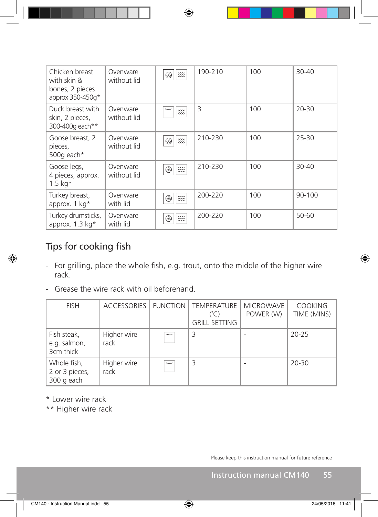| Chicken breast<br>with skin &<br>bones, 2 pieces<br>approx $350-450q*$ | Ovenware<br>without lid | 燚<br>⊛                         | 190-210 | 100 | $30 - 40$ |
|------------------------------------------------------------------------|-------------------------|--------------------------------|---------|-----|-----------|
| Duck breast with<br>skin, 2 pieces,<br>300-400g each**                 | Ovenware<br>without lid | mm<br>燚                        | 3       | 100 | $20 - 30$ |
| Goose breast, 2<br>pieces,<br>500g each*                               | Ovenware<br>without lid | 燚<br>⊛                         | 210-230 | 100 | $25 - 30$ |
| Goose legs,<br>4 pieces, approx.<br>$1.5 \text{ kg}^*$                 | Ovenware<br>without lid | 燚<br>⊛                         | 210-230 | 100 | $30 - 40$ |
| Turkey breast,<br>approx. $1 \text{ kg}^*$                             | Ovenware<br>with lid    | 燚<br>⊛                         | 200-220 | 100 | 90-100    |
| Turkey drumsticks,<br>approx. $1.3 \text{ kg}^*$                       | Ovenware<br>with lid    | $\widetilde{\mathbb{Z}}$<br>B) | 200-220 | 100 | 50-60     |

## Tips for cooking fish

- For grilling, place the whole fish, e.g. trout, onto the middle of the higher wire rack.
- Grease the wire rack with oil beforehand.

| <b>FISH</b>                                 | ACCESSORIES   FUNCTION |          | TEMPERATURE<br>(°C)<br><b>GRILL SETTING</b> | <b>MICROWAVE</b><br>POWER (W) | <b>COOKING</b><br>TIME (MINS) |
|---------------------------------------------|------------------------|----------|---------------------------------------------|-------------------------------|-------------------------------|
| Fish steak,<br>e.g. salmon,<br>3cm thick    | Higher wire<br>rack    | vmv      | 3                                           |                               | $20 - 25$                     |
| Whole fish,<br>2 or 3 pieces,<br>300 g each | Higher wire<br>rack    | $~\sim~$ | 3                                           |                               | $20 - 30$                     |

\* Lower wire rack

\*\* Higher wire rack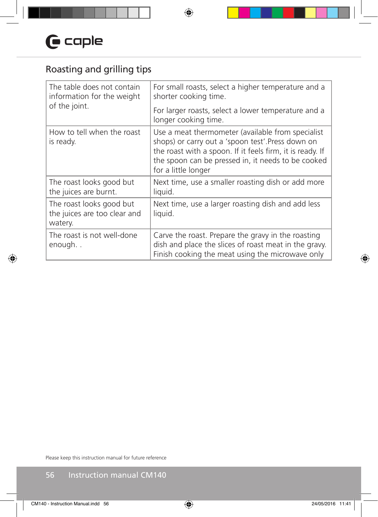## Roasting and grilling tips

| The table does not contain<br>information for the weight            | For small roasts, select a higher temperature and a<br>shorter cooking time.                                                                                                                                                                    |  |  |
|---------------------------------------------------------------------|-------------------------------------------------------------------------------------------------------------------------------------------------------------------------------------------------------------------------------------------------|--|--|
| of the joint.                                                       | For larger roasts, select a lower temperature and a<br>longer cooking time.                                                                                                                                                                     |  |  |
| How to tell when the roast<br>is ready.                             | Use a meat thermometer (available from specialist<br>shops) or carry out a 'spoon test'.Press down on<br>the roast with a spoon. If it feels firm, it is ready. If<br>the spoon can be pressed in, it needs to be cooked<br>for a little longer |  |  |
| The roast looks good but<br>the juices are burnt.                   | Next time, use a smaller roasting dish or add more<br>liquid.                                                                                                                                                                                   |  |  |
| The roast looks good but<br>the juices are too clear and<br>watery. | Next time, use a larger roasting dish and add less<br>liquid.                                                                                                                                                                                   |  |  |
| The roast is not well-done<br>enough                                | Carve the roast. Prepare the gravy in the roasting<br>dish and place the slices of roast meat in the gravy.<br>Finish cooking the meat using the microwave only                                                                                 |  |  |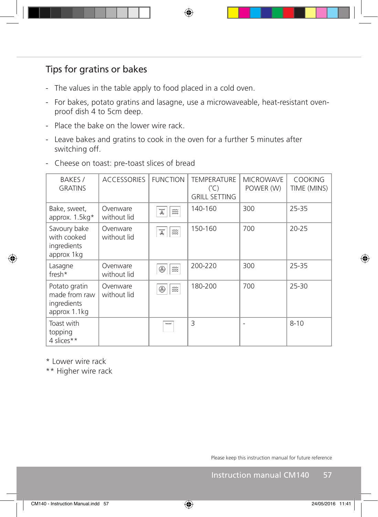## Tips for gratins or bakes

- The values in the table apply to food placed in a cold oven.
- For bakes, potato gratins and lasagne, use a microwaveable, heat-resistant ovenproof dish 4 to 5cm deep.
- Place the bake on the lower wire rack.
- Leave bakes and gratins to cook in the oven for a further 5 minutes after switching off.
- Cheese on toast: pre-toast slices of bread

| BAKES /<br><b>GRATINS</b>                                     | <b>ACCESSORIES</b>      | <b>FUNCTION</b>                     | <b>TEMPERATURE</b><br>$(^{\circ}$ C)<br><b>GRILL SETTING</b> | <b>MICROWAVE</b><br>POWER (W) | <b>COOKING</b><br>TIME (MINS) |
|---------------------------------------------------------------|-------------------------|-------------------------------------|--------------------------------------------------------------|-------------------------------|-------------------------------|
| Bake, sweet,<br>approx. $1.5kg*$                              | Ovenware<br>without lid | ww<br>燚<br>£                        | 140-160                                                      | 300                           | 25-35                         |
| Savoury bake<br>with cooked<br>ingredients<br>approx 1 kg     | Ovenware<br>without lid | ww<br>$\widetilde{\mathbb{Z}}$<br>o | 150-160                                                      | 700                           | $20 - 25$                     |
| Lasagne<br>${\sf fresh*}$                                     | Ovenware<br>without lid | 燚<br>$^{\circledR}$                 | 200-220                                                      | 300                           | 25-35                         |
| Potato gratin<br>made from raw<br>ingredients<br>approx 1.1kg | Ovenware<br>without lid | 燚<br>⊛                              | 180-200                                                      | 700                           | $25 - 30$                     |
| Toast with<br>topping<br>4 slices**                           |                         | ww                                  | 3                                                            |                               | $8 - 10$                      |

\* Lower wire rack

\*\* Higher wire rack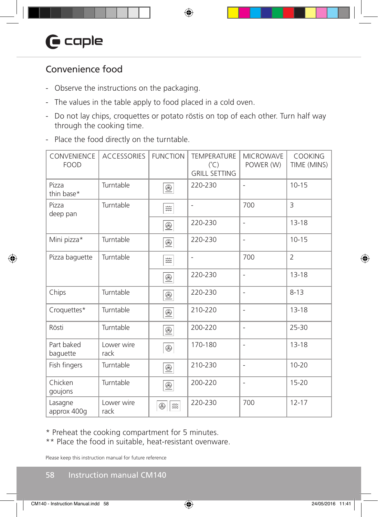## Convenience food

- Observe the instructions on the packaging.
- The values in the table apply to food placed in a cold oven.
- Do not lay chips, croquettes or potato röstis on top of each other. Turn half way through the cooking time.
- Place the food directly on the turntable.

| <b>CONVENIENCE</b><br><b>FOOD</b> | <b>ACCESSORIES</b> | <b>FUNCTION</b>                                     | <b>TEMPERATURE</b><br>$(^{\circ}C)$<br><b>GRILL SETTING</b> | <b>MICROWAVE</b><br>POWER (W) | COOKING<br>TIME (MINS) |
|-----------------------------------|--------------------|-----------------------------------------------------|-------------------------------------------------------------|-------------------------------|------------------------|
| Pizza<br>thin base*               | Turntable          | $\underline{\circledast}$                           | 220-230                                                     | $\overline{\phantom{m}}$      | $10 - 15$              |
| Pizza<br>deep pan                 | Turntable          | $\widetilde{\mathbb{Z}} \widetilde{\mathbb{Z}}$     | $\overline{\phantom{0}}$                                    | 700                           | $\overline{3}$         |
|                                   |                    | $\underline{\circledast}$                           | 220-230                                                     | $\overline{\phantom{a}}$      | $13 - 18$              |
| Mini pizza*                       | Turntable          | $\underline{\circledast}$                           | 220-230                                                     | $\overline{\phantom{a}}$      | $10 - 15$              |
| Pizza baguette                    | Turntable          | $\widetilde{\mathbb{Z}}\widetilde{\mathbb{Z}}$      | $\overline{\phantom{a}}$                                    | 700                           | $\overline{2}$         |
|                                   |                    | $@{\\$                                              | 220-230                                                     | $\overline{\phantom{m}}$      | $13 - 18$              |
| Chips                             | Turntable          | $\underline{\circledast}$                           | 220-230                                                     | $\overline{\phantom{0}}$      | $8 - 13$               |
| Croquettes*                       | Turntable          | $\underline{\circledast}$                           | 210-220                                                     | $\overline{\phantom{0}}$      | $13 - 18$              |
| Rösti                             | Turntable          | $\underline{\circledast}$                           | 200-220                                                     | $\overline{\phantom{m}}$      | 25-30                  |
| Part baked<br>baguette            | Lower wire<br>rack | $\circledR$                                         | 170-180                                                     | $\overline{a}$                | $13 - 18$              |
| Fish fingers                      | Turntable          | $\underline{\circledast}$                           | 210-230                                                     | $\overline{\phantom{m}}$      | $10 - 20$              |
| Chicken<br>goujons                | Turntable          | $\underline{\circledast}$                           | 200-220                                                     | $\overline{\phantom{m}}$      | $15 - 20$              |
| Lasagne<br>approx 400q            | Lower wire<br>rack | $\widetilde{\mathbb{Z}}\widetilde{\mathbb{Z}}$<br>⊛ | 220-230                                                     | 700                           | $12 - 17$              |

\* Preheat the cooking compartment for 5 minutes.

\*\* Place the food in suitable, heat-resistant ovenware.